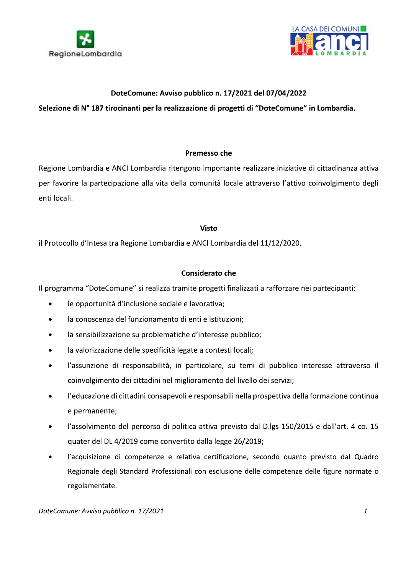



### DoteComune: Avviso pubblico n. 17/2021 del 07/04/2022

## Selezione di N° 187 tirocinanti per la realizzazione di progetti di "DoteComune" in Lombardia.

#### Premesso che

Regione Lombardia e ANCI Lombardia ritengono importante realizzare iniziative di cittadinanza attiva per favorire la partecipazione alla vita della comunità locale attraverso l'attivo coinvolgimento degli enti locali.

#### **Visto**

il Protocollo d'Intesa tra Regione Lombardia e ANCI Lombardia del 11/12/2020.

#### **Considerato che**

Il programma "DoteComune" si realizza tramite progetti finalizzati a rafforzare nei partecipanti:

- le opportunità d'inclusione sociale e lavorativa;  $\bullet$
- la conoscenza del funzionamento di enti e istituzioni;  $\bullet$
- la sensibilizzazione su problematiche d'interesse pubblico;  $\bullet$
- la valorizzazione delle specificità legate a contesti locali;  $\bullet$
- l'assunzione di responsabilità, in particolare, su temi di pubblico interesse attraverso il  $\bullet$ coinvolgimento dei cittadini nel miglioramento del livello dei servizi;
- l'educazione di cittadini consapevoli e responsabili nella prospettiva della formazione continua  $\bullet$ e permanente;
- l'assolvimento del percorso di politica attiva previsto dal D.lgs 150/2015 e dall'art. 4 co. 15  $\bullet$ quater del DL 4/2019 come convertito dalla legge 26/2019;
- l'acquisizione di competenze e relativa certificazione, secondo quanto previsto dal Quadro  $\bullet$ Regionale degli Standard Professionali con esclusione delle competenze delle figure normate o regolamentate.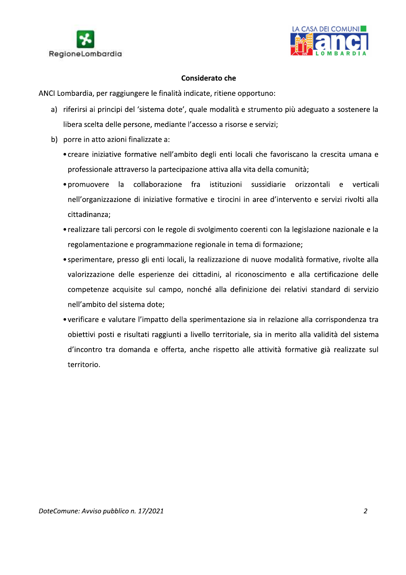



- **Example 19 And CASA DEI COMUNI<br>
RegioneLombardia<br>
Considerato che<br>
ANCI Lombardia, per raggiungere le finalità indicate, ritiene opportuno:<br>
a) riferirsi ai principi del 'sistema dote', quale modalità e strumento più adeg** 
	- -
		- promuovere la collaborazione fra istituzioni sussidiarie orizzontali e verticali nell'organizzazione di iniziative formative e tirocini in aree d'intervento e servizi rivolti alla cittadinanza:
		- realizzare tali percorsi con le regole di svolgimento coerenti con la legislazione nazionale e la regolamentazione e programmazione regionale in tema di formazione;
		- sperimentare, presso gli enti locali, la realizzazione di nuove modalità formative, rivolte alla valorizzazione delle esperienze dei cittadini, al riconoscimento e alla certificazione delle competenze acquisite sul campo, nonché alla definizione dei relativi standard di servizio nell'ambito del sistema dote:
		- verificare e valutare l'impatto della sperimentazione sia in relazione alla corrispondenza tra obiettivi posti e risultati raggiunti a livello territoriale, sia in merito alla validità del sistema d'incontro tra domanda e offerta, anche rispetto alle attività formative già realizzate sul territorio.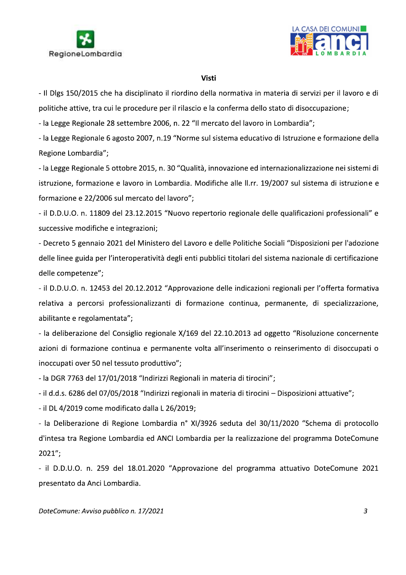



#### **Visti**

- Il Dlgs 150/2015 che ha disciplinato il riordino della normativa in materia di servizi per il lavoro e di politiche attive, tra cui le procedure per il rilascio e la conferma dello stato di disoccupazione;

- la Legge Regionale 28 settembre 2006, n. 22 "Il mercato del lavoro in Lombardia";

- la Legge Regionale 6 agosto 2007, n.19 "Norme sul sistema educativo di Istruzione e formazione della Regione Lombardia";

- la Legge Regionale 5 ottobre 2015, n. 30 "Qualità, innovazione ed internazionalizzazione nei sistemi di istruzione, formazione e lavoro in Lombardia. Modifiche alle II.rr. 19/2007 sul sistema di istruzione e formazione e 22/2006 sul mercato del lavoro";

- il D.D.U.O. n. 11809 del 23.12.2015 "Nuovo repertorio regionale delle qualificazioni professionali" e successive modifiche e integrazioni;

- Decreto 5 gennaio 2021 del Ministero del Lavoro e delle Politiche Sociali "Disposizioni per l'adozione delle linee guida per l'interoperatività degli enti pubblici titolari del sistema nazionale di certificazione delle competenze";

- il D.D.U.O. n. 12453 del 20.12.2012 "Approvazione delle indicazioni regionali per l'offerta formativa relativa a percorsi professionalizzanti di formazione continua, permanente, di specializzazione, abilitante e regolamentata";

- la deliberazione del Consiglio regionale X/169 del 22.10.2013 ad oggetto "Risoluzione concernente azioni di formazione continua e permanente volta all'inserimento o reinserimento di disoccupati o inoccupati over 50 nel tessuto produttivo";

- la DGR 7763 del 17/01/2018 "Indirizzi Regionali in materia di tirocini";

- il d.d.s. 6286 del 07/05/2018 "Indirizzi regionali in materia di tirocini - Disposizioni attuative";

- il DL 4/2019 come modificato dalla L 26/2019;

- la Deliberazione di Regione Lombardia nº XI/3926 seduta del 30/11/2020 "Schema di protocollo d'intesa tra Regione Lombardia ed ANCI Lombardia per la realizzazione del programma DoteComune  $2021"$ :

- il D.D.U.O. n. 259 del 18.01.2020 "Approvazione del programma attuativo DoteComune 2021 presentato da Anci Lombardia.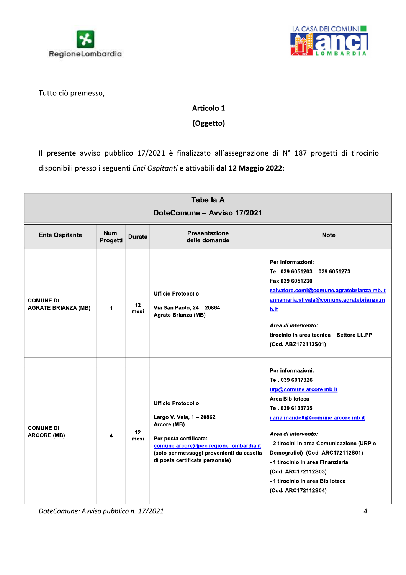



Tutto ciò premesso,

# Articolo 1

# (Oggetto)

Il presente avviso pubblico 17/2021 è finalizzato all'assegnazione di N° 187 progetti di tirocinio disponibili presso i seguenti Enti Ospitanti e attivabili dal 12 Maggio 2022:

| <b>Tabella A</b><br>DoteComune - Avviso 17/2021 |                  |               |                                                                                                                                                                                                                          |                                                                                                                                                                                                                                                                                                                                                                              |
|-------------------------------------------------|------------------|---------------|--------------------------------------------------------------------------------------------------------------------------------------------------------------------------------------------------------------------------|------------------------------------------------------------------------------------------------------------------------------------------------------------------------------------------------------------------------------------------------------------------------------------------------------------------------------------------------------------------------------|
| <b>Ente Ospitante</b>                           | Num.<br>Progetti | <b>Durata</b> | <b>Presentazione</b><br>delle domande                                                                                                                                                                                    | <b>Note</b>                                                                                                                                                                                                                                                                                                                                                                  |
| <b>COMUNE DI</b><br><b>AGRATE BRIANZA (MB)</b>  | 1                | 12<br>mesi    | <b>Ufficio Protocollo</b><br>Via San Paolo, 24 - 20864<br>Agrate Brianza (MB)                                                                                                                                            | Per informazioni:<br>Tel. 039 6051203 - 039 6051273<br>Fax 039 6051230<br>salvatore.comi@comune.agratebrianza.mb.it<br>annamaria.stivala@comune.agratebrianza.m<br>b.it<br>Area di intervento:<br>tirocinio in area tecnica - Settore LL.PP.<br>(Cod. ABZ172112S01)                                                                                                          |
| <b>COMUNE DI</b><br><b>ARCORE (MB)</b>          | 4                | 12<br>mesi    | <b>Ufficio Protocollo</b><br>Largo V. Vela, 1 - 20862<br>Arcore (MB)<br>Per posta certificata:<br>comune.arcore@pec.regione.lombardia.it<br>(solo per messaggi provenienti da casella<br>di posta certificata personale) | Per informazioni:<br>Tel. 039 6017326<br>urp@comune.arcore.mb.it<br>Area Biblioteca<br>Tel. 039 6133735<br>ilaria.mandelli@comune.arcore.mb.it<br>Area di intervento:<br>- 2 tirocini in area Comunicazione (URP e<br>Demografici) (Cod. ARC172112S01)<br>- 1 tirocinio in area Finanziaria<br>(Cod. ARC172112S03)<br>-1 tirocinio in area Biblioteca<br>(Cod. ARC172112S04) |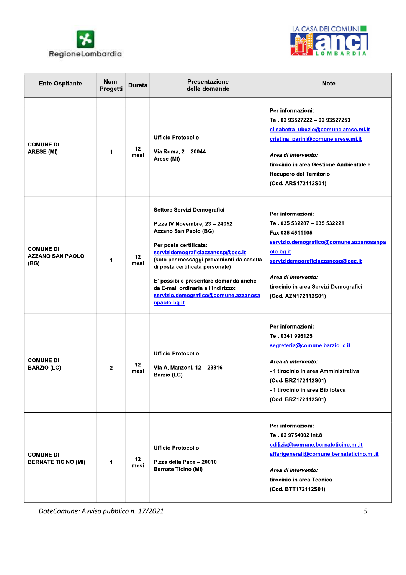



| <b>Ente Ospitante</b>                               | Num.<br>Progetti | <b>Durata</b>           | <b>Presentazione</b><br>delle domande                                                                                                                                                                                                                                                                                                                                       | <b>Note</b>                                                                                                                                                                                                                                              |
|-----------------------------------------------------|------------------|-------------------------|-----------------------------------------------------------------------------------------------------------------------------------------------------------------------------------------------------------------------------------------------------------------------------------------------------------------------------------------------------------------------------|----------------------------------------------------------------------------------------------------------------------------------------------------------------------------------------------------------------------------------------------------------|
| <b>COMUNE DI</b><br><b>ARESE (MI)</b>               | 1                | 12<br>mesi              | <b>Ufficio Protocollo</b><br>Via Roma, 2 - 20044<br>Arese (MI)                                                                                                                                                                                                                                                                                                              | Per informazioni:<br>Tel. 02 93527222 - 02 93527253<br>elisabetta ubezio@comune.arese.mi.it<br>cristina parini@comune.arese.mi.it<br>Area di intervento:<br>tirocinio in area Gestione Ambientale e<br>Recupero del Territorio<br>(Cod. ARS172112S01)    |
| <b>COMUNE DI</b><br><b>AZZANO SAN PAOLO</b><br>(BG) | 1                | 12 <sub>2</sub><br>mesi | Settore Servizi Demografici<br>P.zza IV Novembre, 23 - 24052<br>Azzano San Paolo (BG)<br>Per posta certificata:<br>servizidemograficiazzanosp@pec.it<br>(solo per messaggi provenienti da casella<br>di posta certificata personale)<br>E' possibile presentare domanda anche<br>da E-mail ordinaria all'indirizzo:<br>servizio.demografico@comune.azzanosa<br>npaolo.bg.it | Per informazioni:<br>Tel. 035 532287 - 035 532221<br>Fax 035 4511105<br>servizio.demografico@comune.azzanosanpa<br>olo.bg.it<br>servizidemograficiazzanosp@pec.it<br>Area di intervento:<br>tirocinio in area Servizi Demografici<br>(Cod. AZN172112S01) |
| <b>COMUNE DI</b><br><b>BARZIO (LC)</b>              | 2                | 12<br>mesi              | <b>Ufficio Protocollo</b><br>Via A. Manzoni, 12 - 23816<br>Barzio (LC)                                                                                                                                                                                                                                                                                                      | Per informazioni:<br>Tel. 0341 996125<br>segreteria@comune.barzio.lc.it<br>Area di intervento:<br>- 1 tirocinio in area Amministrativa<br>(Cod. BRZ172112S01)<br>-1 tirocinio in area Biblioteca<br>(Cod. BRZ172112S01)                                  |
| <b>COMUNE DI</b><br><b>BERNATE TICINO (MI)</b>      | 1                | 12 <sub>2</sub><br>mesi | <b>Ufficio Protocollo</b><br>P.zza della Pace - 20010<br><b>Bernate Ticino (MI)</b>                                                                                                                                                                                                                                                                                         | Per informazioni:<br>Tel. 02 9754002 Int.8<br>edilizia@comune.bernateticino.mi.it<br>affarigenerali@comune.bernateticino.mi.it<br>Area di intervento:<br>tirocinio in area Tecnica<br>(Cod. BTT172112S01)                                                |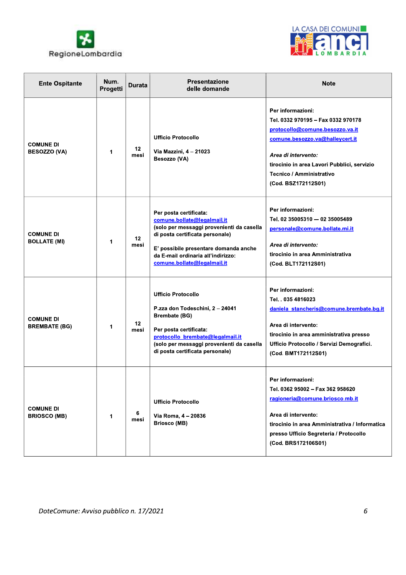



| <b>Ente Ospitante</b>                    | Num.<br>Progetti | <b>Durata</b>            | <b>Presentazione</b><br>delle domande                                                                                                                                                                                                               | <b>Note</b>                                                                                                                                                                                                                                            |
|------------------------------------------|------------------|--------------------------|-----------------------------------------------------------------------------------------------------------------------------------------------------------------------------------------------------------------------------------------------------|--------------------------------------------------------------------------------------------------------------------------------------------------------------------------------------------------------------------------------------------------------|
| <b>COMUNE DI</b><br><b>BESOZZO (VA)</b>  | 1                | 12 <sup>12</sup><br>mesi | <b>Ufficio Protocollo</b><br>Via Mazzini, 4 - 21023<br>Besozzo (VA)                                                                                                                                                                                 | Per informazioni:<br>Tel. 0332 970195 - Fax 0332 970178<br>protocollo@comune.besozzo.va.it<br>comune.besozzo.va@halleycert.it<br>Area di intervento:<br>tirocinio in area Lavori Pubblici, servizio<br>Tecnico / Amministrativo<br>(Cod. BSZ172112S01) |
| <b>COMUNE DI</b><br><b>BOLLATE (MI)</b>  | 1                | 12 <sup>2</sup><br>mesi  | Per posta certificata:<br>comune.bollate@legalmail.it<br>(solo per messaggi provenienti da casella<br>di posta certificata personale)<br>E' possibile presentare domanda anche<br>da E-mail ordinaria all'indirizzo:<br>comune.bollate@legalmail.it | Per informazioni:<br>Tel. 02 35005310 - 02 35005489<br>personale@comune.bollate.mi.it<br>Area di intervento:<br>tirocinio in area Amministrativa<br>(Cod. BLT172112S01)                                                                                |
| <b>COMUNE DI</b><br><b>BREMBATE (BG)</b> | 1                | 12<br>mesi               | <b>Ufficio Protocollo</b><br>P.zza don Todeschini, 2 - 24041<br><b>Brembate (BG)</b><br>Per posta certificata:<br>protocollo brembate@legalmail.it<br>(solo per messaggi provenienti da casella<br>di posta certificata personale)                  | Per informazioni:<br>Tel. . 035 4816023<br>daniela stancheris@comune.brembate.bg.it<br>Area di intervento:<br>tirocinio in area amministrativa presso<br>Ufficio Protocollo / Servizi Demografici.<br>(Cod. BMT172112S01)                              |
| <b>COMUNE DI</b><br><b>BRIOSCO (MB)</b>  | 1                | 6<br>mesi                | <b>Ufficio Protocollo</b><br>Via Roma, 4 - 20836<br><b>Briosco (MB)</b>                                                                                                                                                                             | Per informazioni:<br>Tel. 0362 95002 - Fax 362 958620<br>ragioneria@comune.briosco.mb.it<br>Area di intervento:<br>tirocinio in area Amministrativa / Informatica<br>presso Ufficio Segreteria / Protocollo<br>(Cod. BRS172106S01)                     |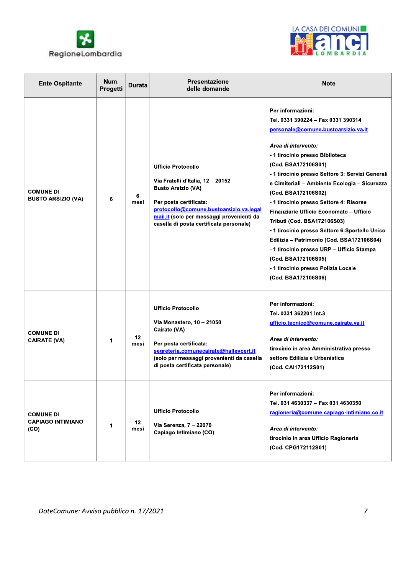



| <b>Ente Ospitante</b>                                | Num.<br>Progetti | <b>Durata</b> | <b>Presentazione</b><br>delle domande                                                                                                                                                                                                                    | <b>Note</b>                                                                                                                                                                                                                                                                                                                                                                                                                                                                                                                                                                                                                                                        |
|------------------------------------------------------|------------------|---------------|----------------------------------------------------------------------------------------------------------------------------------------------------------------------------------------------------------------------------------------------------------|--------------------------------------------------------------------------------------------------------------------------------------------------------------------------------------------------------------------------------------------------------------------------------------------------------------------------------------------------------------------------------------------------------------------------------------------------------------------------------------------------------------------------------------------------------------------------------------------------------------------------------------------------------------------|
| <b>COMUNE DI</b><br><b>BUSTO ARSIZIO (VA)</b>        | 6                | 6<br>mesi     | <b>Ufficio Protocollo</b><br>Via Fratelli d'Italia, 12 - 20152<br><b>Busto Arsizio (VA)</b><br>Per posta certificata:<br>protocollo@comune.bustoarsizio.va.legal<br>mail.it (solo per messaggi provenienti da<br>casella di posta certificata personale) | Per informazioni:<br>Tel. 0331 390224 - Fax 0331 390314<br>personale@comune.bustoarsizio.va.it<br>Area di intervento:<br>- 1 tirocinio presso Biblioteca<br>(Cod. BSA172106S01)<br>- 1 tirocinio presso Settore 3: Servizi Generali<br>e Cimiteriali - Ambiente Ecologia - Sicurezza<br>(Cod. BSA172106S02)<br>- 1 tirocinio presso Settore 4: Risorse<br>Finanziarie Ufficio Economato – Ufficio<br>Tributi (Cod. BSA172106S03)<br>- 1 tirocinio presso Settore 6: Sportello Unico<br>Edilizia – Patrimonio (Cod. BSA172106S04)<br>- 1 tirocinio presso URP - Ufficio Stampa<br>(Cod. BSA172106S05)<br>- 1 tirocinio presso Polizia Locale<br>(Cod. BSA172106S06) |
| <b>COMUNE DI</b><br><b>CAIRATE (VA)</b>              | 1                | 12<br>mesi    | <b>Ufficio Protocollo</b><br>Via Monastero, 10 - 21050<br>Cairate (VA)<br>Per posta certificata:<br>segreteria.comunecairate@halleycert.it<br>(solo per messaggi provenienti da casella<br>di posta certificata personale)                               | Per informazioni:<br>Tel. 0331 362201 Int.3<br>ufficio.tecnico@comune.cairate.va.it<br>Area di intervento:<br>tirocinio in area Amministrativa presso<br>settore Edilizia e Urbanistica<br>(Cod. CAI172112S01)                                                                                                                                                                                                                                                                                                                                                                                                                                                     |
| <b>COMUNE DI</b><br><b>CAPIAGO INTIMIANO</b><br>(CO) | 1                | 12<br>mesi    | <b>Ufficio Protocollo</b><br>Via Serenza, 7 - 22070<br>Capiago Intimiano (CO)                                                                                                                                                                            | Per informazioni:<br>Tel. 031 4630337 - Fax 031 4630350<br>ragioneria@comune.capiago-intimiano.co.it<br>Area di intervento:<br>tirocinio in area Ufficio Ragioneria<br>(Cod. CPG172112S01)                                                                                                                                                                                                                                                                                                                                                                                                                                                                         |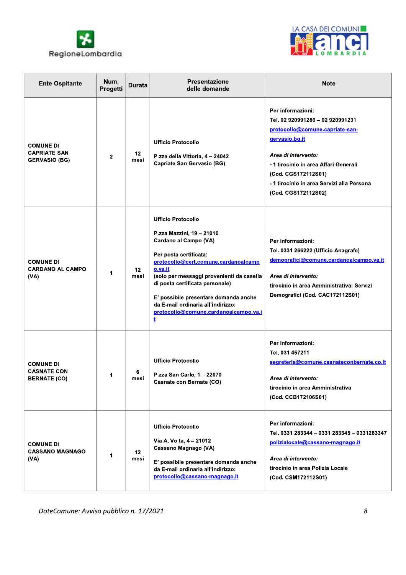



| <b>Ente Ospitante</b>                                           | Num.<br>Progetti | <b>Durata</b>   | Presentazione<br>delle domande                                                                                                                                                                                                                                                                                                                                             | <b>Note</b>                                                                                                                                                                                                                                                            |
|-----------------------------------------------------------------|------------------|-----------------|----------------------------------------------------------------------------------------------------------------------------------------------------------------------------------------------------------------------------------------------------------------------------------------------------------------------------------------------------------------------------|------------------------------------------------------------------------------------------------------------------------------------------------------------------------------------------------------------------------------------------------------------------------|
| <b>COMUNE DI</b><br><b>CAPRIATE SAN</b><br><b>GERVASIO (BG)</b> | $\mathbf{2}$     | 12<br>mesi      | <b>Ufficio Protocollo</b><br>P.zza della Vittoria, 4 - 24042<br><b>Capriate San Gervasio (BG)</b>                                                                                                                                                                                                                                                                          | Per informazioni:<br>Tel. 02 920991280 - 02 920991231<br>protocollo@comune.capriate-san-<br>gervasio.bg.it<br>Area di intervento:<br>- 1 tirocinio in area Affari Generali<br>(Cod. CGS172112S01)<br>- 1 tirocinio in area Servizi alla Persona<br>(Cod. CGS172112S02) |
| <b>COMUNE DI</b><br><b>CARDANO AL CAMPO</b><br>(VA)             | 1                | $12 \,$<br>mesi | <b>Ufficio Protocollo</b><br>P.zza Mazzini, 19 - 21010<br>Cardano al Campo (VA)<br>Per posta certificata:<br>protocollo@cert.comune.cardanoalcamp<br>o.va.it<br>(solo per messaggi provenienti da casella<br>di posta certificata personale)<br>E' possibile presentare domanda anche<br>da E-mail ordinaria all'indirizzo:<br>protocollo@comune.cardanoalcampo.va.i<br>ţ. | Per informazioni:<br>Tel. 0331 266222 (Ufficio Anagrafe)<br>demografici@comune.cardanoalcampo.va.it<br>Area di intervento:<br>tirocinio in area Amministrativa: Servizi<br>Demografici (Cod. CAC172112S01)                                                             |
| <b>COMUNE DI</b><br><b>CASNATE CON</b><br><b>BERNATE (CO)</b>   | 1                | 6<br>mesi       | <b>Ufficio Protocollo</b><br>P.zza San Carlo, 1 - 22070<br>Casnate con Bernate (CO)                                                                                                                                                                                                                                                                                        | Per informazioni:<br>Tel. 031 457211<br>segreteria@comune.casnateconbernate.co.it<br>Area di intervento:<br>tirocinio in area Amministrativa<br>(Cod. CCB172106S01)                                                                                                    |
| <b>COMUNE DI</b><br><b>CASSANO MAGNAGO</b><br>(VA)              | 1                | 12<br>mesi      | <b>Ufficio Protocollo</b><br>Via A. Volta, 4 - 21012<br>Cassano Magnago (VA)<br>E' possibile presentare domanda anche<br>da E-mail ordinaria all'indirizzo:<br>protocollo@cassano-magnago.it                                                                                                                                                                               | Per informazioni:<br>Tel. 0331 283344 - 0331 283345 - 0331283347<br>polizialocale@cassano-magnago.it<br>Area di intervento:<br>tirocinio in area Polizia Locale<br>(Cod. CSM172112S01)                                                                                 |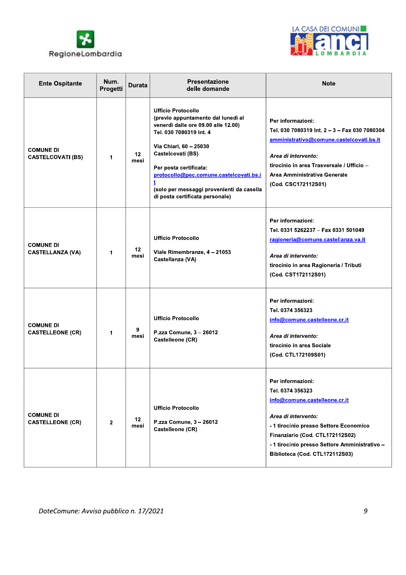



| <b>Ente Ospitante</b>                        | Num.<br>Progetti | <b>Durata</b>            | <b>Presentazione</b><br>delle domande                                                                                                                                                                                                                                                                                                 | <b>Note</b>                                                                                                                                                                                                                                                   |
|----------------------------------------------|------------------|--------------------------|---------------------------------------------------------------------------------------------------------------------------------------------------------------------------------------------------------------------------------------------------------------------------------------------------------------------------------------|---------------------------------------------------------------------------------------------------------------------------------------------------------------------------------------------------------------------------------------------------------------|
| <b>COMUNE DI</b><br><b>CASTELCOVATI (BS)</b> | 1                | 12 <sup>12</sup><br>mesi | <b>Ufficio Protocollo</b><br>(previo appuntamento dal lunedì al<br>venerdì dalle ore 09.00 alle 12.00)<br>Tel. 030 7080319 Int. 4<br>Via Chiari, 60 - 25030<br>Castelcovati (BS)<br>Per posta certificata:<br>protocollo@pec.comune.castelcovati.bs.i<br>(solo per messaggi provenienti da casella<br>di posta certificata personale) | Per informazioni:<br>Tel. 030 7080319 Int. 2 - 3 - Fax 030 7080304<br>amministrativo@comune.castelcovati.bs.it<br>Area di intervento:<br>tirocinio in area Trasversale / Ufficio -<br>Area Amministrativa Generale<br>(Cod. CSC172112S01)                     |
| <b>COMUNE DI</b><br><b>CASTELLANZA (VA)</b>  | 1                | 12<br>mesi               | <b>Ufficio Protocollo</b><br>Viale Rimembranze, 4 - 21053<br>Castellanza (VA)                                                                                                                                                                                                                                                         | Per informazioni:<br>Tel. 0331 5262237 - Fax 0331 501049<br>ragioneria@comune.castellanza.va.it<br>Area di intervento:<br>tirocinio in area Ragioneria / Tributi<br>(Cod. CST172112S01)                                                                       |
| <b>COMUNE DI</b><br><b>CASTELLEONE (CR)</b>  | 1                | 9<br>mesi                | <b>Ufficio Protocollo</b><br>P.zza Comune, 3 - 26012<br>Castelleone (CR)                                                                                                                                                                                                                                                              | Per informazioni:<br>Tel. 0374 356323<br>info@comune.castelleone.cr.it<br>Area di intervento:<br>tirocinio in area Sociale<br>(Cod. CTL172109S01)                                                                                                             |
| <b>COMUNE DI</b><br><b>CASTELLEONE (CR)</b>  | $\mathbf{2}$     | 12 <sub>2</sub><br>mesi  | <b>Ufficio Protocollo</b><br>P.zza Comune, 3 - 26012<br>Castelleone (CR)                                                                                                                                                                                                                                                              | Per informazioni:<br>Tel. 0374 356323<br>info@comune.castelleone.cr.it<br>Area di intervento:<br>- 1 tirocinio presso Settore Economico<br>Finanziario (Cod. CTL172112S02)<br>- 1 tirocinio presso Settore Amministrativo -<br>Biblioteca (Cod. CTL172112S03) |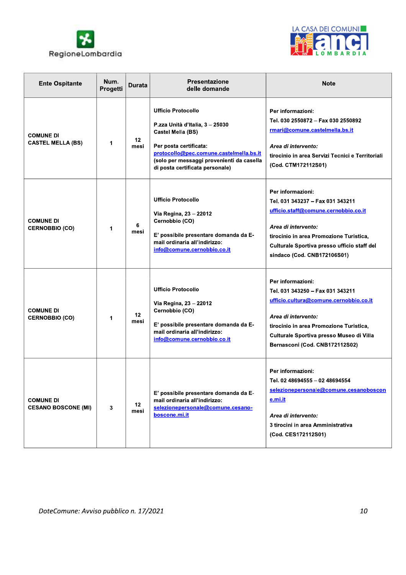



| <b>Ente Ospitante</b>                          | Num.<br>Progetti | <b>Durata</b>            | <b>Presentazione</b><br>delle domande                                                                                                                                                                                                  | <b>Note</b>                                                                                                                                                                                                                                     |
|------------------------------------------------|------------------|--------------------------|----------------------------------------------------------------------------------------------------------------------------------------------------------------------------------------------------------------------------------------|-------------------------------------------------------------------------------------------------------------------------------------------------------------------------------------------------------------------------------------------------|
| <b>COMUNE DI</b><br><b>CASTEL MELLA (BS)</b>   | 1                | 12<br>mesi               | <b>Ufficio Protocollo</b><br>P.zza Unità d'Italia, 3 - 25030<br>Castel Mella (BS)<br>Per posta certificata:<br>protocollo@pec.comune.castelmella.bs.it<br>(solo per messaggi provenienti da casella<br>di posta certificata personale) | Per informazioni:<br>Tel. 030 2550872 - Fax 030 2550892<br>rmari@comune.castelmella.bs.it<br>Area di intervento:<br>tirocinio in area Servizi Tecnici e Territoriali<br>(Cod. CTM172112S01)                                                     |
| <b>COMUNE DI</b><br><b>CERNOBBIO (CO)</b>      | 1                | 6<br>mesi                | <b>Ufficio Protocollo</b><br>Via Regina, 23 - 22012<br>Cernobbio (CO)<br>E' possibile presentare domanda da E-<br>mail ordinaria all'indirizzo:<br>info@comune.cernobbio.co.it                                                         | Per informazioni:<br>Tel. 031 343237 - Fax 031 343211<br>ufficio.staff@comune.cernobbio.co.it<br>Area di intervento:<br>tirocinio in area Promozione Turistica,<br>Culturale Sportiva presso ufficio staff del<br>sindaco (Cod. CNB172106S01)   |
| <b>COMUNE DI</b><br><b>CERNOBBIO (CO)</b>      | 1                | 12 <sup>12</sup><br>mesi | <b>Ufficio Protocollo</b><br>Via Regina, 23 - 22012<br>Cernobbio (CO)<br>E' possibile presentare domanda da E-<br>mail ordinaria all'indirizzo:<br>info@comune.cernobbio.co.it                                                         | Per informazioni:<br>Tel. 031 343250 - Fax 031 343211<br>ufficio.cultura@comune.cernobbio.co.it<br>Area di intervento:<br>tirocinio in area Promozione Turistica,<br>Culturale Sportiva presso Museo di Villa<br>Bernasconi (Cod. CNB172112S02) |
| <b>COMUNE DI</b><br><b>CESANO BOSCONE (MI)</b> | 3                | 12<br>mesi               | E' possibile presentare domanda da E-<br>mail ordinaria all'indirizzo:<br>selezionepersonale@comune.cesano-<br>boscone.mi.it                                                                                                           | Per informazioni:<br>Tel. 02 48694555 - 02 48694554<br>selezionepersonale@comune.cesanoboscon<br>e.mi.it<br>Area di intervento:<br>3 tirocini in area Amministrativa<br>(Cod. CES172112S01)                                                     |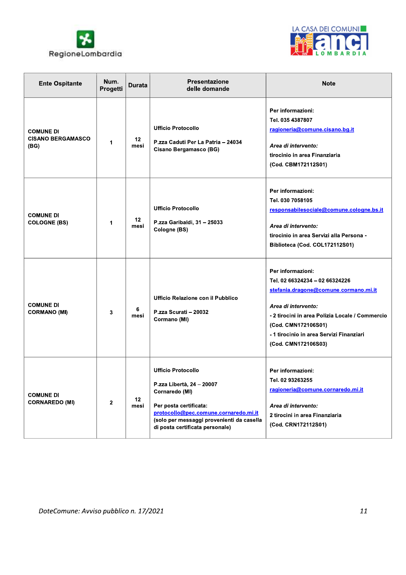



| <b>Ente Ospitante</b>                                | Num.<br>Progetti | <b>Durata</b>           | <b>Presentazione</b><br>delle domande                                                                                                                                                                                       | <b>Note</b>                                                                                                                                                                                                                                                      |
|------------------------------------------------------|------------------|-------------------------|-----------------------------------------------------------------------------------------------------------------------------------------------------------------------------------------------------------------------------|------------------------------------------------------------------------------------------------------------------------------------------------------------------------------------------------------------------------------------------------------------------|
| <b>COMUNE DI</b><br><b>CISANO BERGAMASCO</b><br>(BG) | 1                | 12<br>mesi              | <b>Ufficio Protocollo</b><br>P.zza Caduti Per La Patria - 24034<br>Cisano Bergamasco (BG)                                                                                                                                   | Per informazioni:<br>Tel. 035 4387807<br>ragioneria@comune.cisano.bg.it<br>Area di intervento:<br>tirocinio in area Finanziaria<br>(Cod. CBM172112S01)                                                                                                           |
| <b>COMUNE DI</b><br><b>COLOGNE (BS)</b>              | 1                | 12<br>mesi              | <b>Ufficio Protocollo</b><br>P.zza Garibaldi, 31 - 25033<br>Cologne (BS)                                                                                                                                                    | Per informazioni:<br>Tel. 030 7058105<br>responsabilesociale@comune.cologne.bs.it<br>Area di intervento:<br>tirocinio in area Servizi alla Persona -<br>Biblioteca (Cod. COL172112S01)                                                                           |
| <b>COMUNE DI</b><br><b>CORMANO (MI)</b>              | 3                | 6<br>mesi               | Ufficio Relazione con il Pubblico<br>P.zza Scurati - 20032<br>Cormano (MI)                                                                                                                                                  | Per informazioni:<br>Tel. 02 66324234 - 02 66324226<br>stefania.dragone@comune.cormano.mi.it<br>Area di intervento:<br>- 2 tirocini in area Polizia Locale / Commercio<br>(Cod. CMN172106S01)<br>- 1 tirocinio in area Servizi Finanziari<br>(Cod. CMN172106S03) |
| <b>COMUNE DI</b><br><b>CORNAREDO (MI)</b>            | $\mathbf{2}$     | 12 <sub>2</sub><br>mesi | <b>Ufficio Protocollo</b><br>P.zza Libertà, 24 - 20007<br>Cornaredo (MI)<br>Per posta certificata:<br>protocollo@pec.comune.cornaredo.mi.it<br>(solo per messaggi provenienti da casella<br>di posta certificata personale) | Per informazioni:<br>Tel. 02 93263255<br>ragioneria@comune.cornaredo.mi.it<br>Area di intervento:<br>2 tirocini in area Finanziaria<br>(Cod. CRN172112S01)                                                                                                       |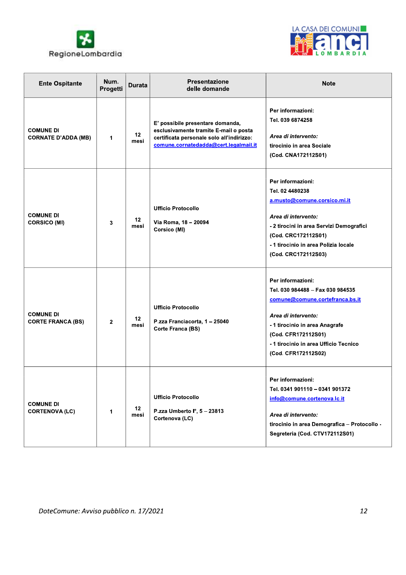



| <b>Ente Ospitante</b>                          | Num.<br>Progetti | <b>Durata</b> | <b>Presentazione</b><br>delle domande                                                                                                                           | <b>Note</b>                                                                                                                                                                                                                              |
|------------------------------------------------|------------------|---------------|-----------------------------------------------------------------------------------------------------------------------------------------------------------------|------------------------------------------------------------------------------------------------------------------------------------------------------------------------------------------------------------------------------------------|
| <b>COMUNE DI</b><br><b>CORNATE D'ADDA (MB)</b> | 1                | 12<br>mesi    | E' possibile presentare domanda,<br>esclusivamente tramite E-mail o posta<br>certificata personale solo all'indirizzo:<br>comune.cornatedadda@cert.legalmail.it | Per informazioni:<br>Tel. 039 6874258<br>Area di intervento:<br>tirocinio in area Sociale<br>(Cod. CNA172112S01)                                                                                                                         |
| <b>COMUNE DI</b><br><b>CORSICO (MI)</b>        | 3                | 12<br>mesi    | <b>Ufficio Protocollo</b><br>Via Roma, 18 - 20094<br>Corsico (MI)                                                                                               | Per informazioni:<br>Tel. 02 4480238<br>a.musto@comune.corsico.mi.it<br>Area di intervento:<br>- 2 tirocini in area Servizi Demografici<br>(Cod. CRC172112S01)<br>-1 tirocinio in area Polizia locale<br>(Cod. CRC172112S03)             |
| <b>COMUNE DI</b><br><b>CORTE FRANCA (BS)</b>   | $\mathbf{2}$     | 12<br>mesi    | <b>Ufficio Protocollo</b><br>P.zza Franciacorta, 1 - 25040<br>Corte Franca (BS)                                                                                 | Per informazioni:<br>Tel. 030 984488 - Fax 030 984535<br>comune@comune.cortefranca.bs.it<br>Area di intervento:<br>- 1 tirocinio in area Anagrafe<br>(Cod. CFR172112S01)<br>- 1 tirocinio in area Ufficio Tecnico<br>(Cod. CFR172112S02) |
| <b>COMUNE DI</b><br><b>CORTENOVA (LC)</b>      | 1                | 12<br>mesi    | <b>Ufficio Protocollo</b><br>P.zza Umberto I°, 5 - 23813<br>Cortenova (LC)                                                                                      | Per informazioni:<br>Tel. 0341 901110 - 0341 901372<br>info@comune.cortenova.lc.it<br>Area di intervento:<br>tirocinio in area Demografica - Protocollo -<br>Segreteria (Cod. CTV172112S01)                                              |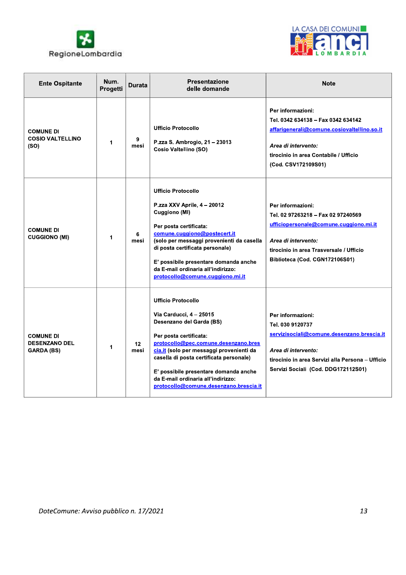



| <b>Ente Ospitante</b>                                         | Num.<br>Progetti | <b>Durata</b>           | <b>Presentazione</b><br>delle domande                                                                                                                                                                                                                                                                                                                              | <b>Note</b>                                                                                                                                                                                           |
|---------------------------------------------------------------|------------------|-------------------------|--------------------------------------------------------------------------------------------------------------------------------------------------------------------------------------------------------------------------------------------------------------------------------------------------------------------------------------------------------------------|-------------------------------------------------------------------------------------------------------------------------------------------------------------------------------------------------------|
| <b>COMUNE DI</b><br><b>COSIO VALTELLINO</b><br>(SO)           | 1                | 9<br>mesi               | <b>Ufficio Protocollo</b><br>P.zza S. Ambrogio, 21 - 23013<br><b>Cosio Valtellino (SO)</b>                                                                                                                                                                                                                                                                         | Per informazioni:<br>Tel. 0342 634138 - Fax 0342 634142<br>affarigenerali@comune.cosiovaltellino.so.it<br>Area di intervento:<br>tirocinio in area Contabile / Ufficio<br>(Cod. CSV172109S01)         |
| <b>COMUNE DI</b><br><b>CUGGIONO (MI)</b>                      | 1                | 6<br>mesi               | <b>Ufficio Protocollo</b><br>P.zza XXV Aprile, 4 - 20012<br>Cuggiono (MI)<br>Per posta certificata:<br>comune.cuggiono@postecert.it<br>(solo per messaggi provenienti da casella<br>di posta certificata personale)<br>E' possibile presentare domanda anche<br>da E-mail ordinaria all'indirizzo:<br>protocollo@comune.cuggiono.mi.it                             | Per informazioni:<br>Tel. 02 97263218 - Fax 02 97240569<br>ufficiopersonale@comune.cuggiono.mi.it<br>Area di intervento:<br>tirocinio in area Trasversale / Ufficio<br>Biblioteca (Cod. CGN172106S01) |
| <b>COMUNE DI</b><br><b>DESENZANO DEL</b><br><b>GARDA (BS)</b> | 1                | 12 <sup>2</sup><br>mesi | <b>Ufficio Protocollo</b><br>Via Carducci, 4 - 25015<br>Desenzano del Garda (BS)<br>Per posta certificata:<br>protocollo@pec.comune.desenzano.bres<br>cia.it (solo per messaggi provenienti da<br>casella di posta certificata personale)<br>E' possibile presentare domanda anche<br>da E-mail ordinaria all'indirizzo:<br>protocollo@comune.desenzano.brescia.it | Per informazioni:<br>Tel. 030 9120737<br>servizisociali@comune.desenzano.brescia.it<br>Area di intervento:<br>tirocinio in area Servizi alla Persona - Ufficio<br>Servizi Sociali (Cod. DDG172112S01) |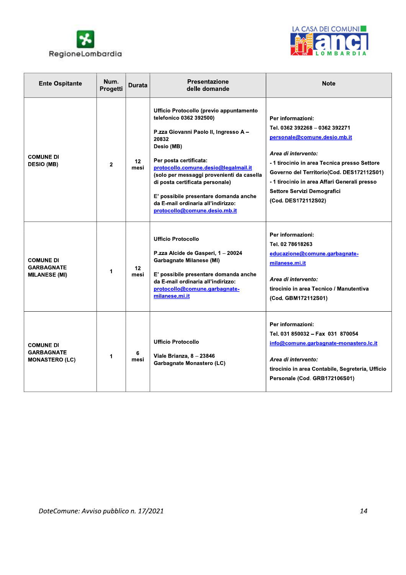



| <b>Ente Ospitante</b>                                          | Num.<br>Progetti | Durata                  | <b>Presentazione</b><br>delle domande                                                                                                                                                                                                                                                                                                                                                                | <b>Note</b>                                                                                                                                                                                                                                                                                                   |
|----------------------------------------------------------------|------------------|-------------------------|------------------------------------------------------------------------------------------------------------------------------------------------------------------------------------------------------------------------------------------------------------------------------------------------------------------------------------------------------------------------------------------------------|---------------------------------------------------------------------------------------------------------------------------------------------------------------------------------------------------------------------------------------------------------------------------------------------------------------|
| <b>COMUNE DI</b><br><b>DESIO (MB)</b>                          | $\mathbf{2}$     | 12 <sub>2</sub><br>mesi | Ufficio Protocollo (previo appuntamento<br>telefonico 0362 392500)<br>P.zza Giovanni Paolo II, Ingresso A -<br>20832<br>Desio (MB)<br>Per posta certificata:<br>protocollo.comune.desio@legalmail.it<br>(solo per messaggi provenienti da casella<br>di posta certificata personale)<br>E' possibile presentare domanda anche<br>da E-mail ordinaria all'indirizzo:<br>protocollo@comune.desio.mb.it | Per informazioni:<br>Tel. 0362 392268 - 0362 392271<br>personale@comune.desio.mb.it<br>Area di intervento:<br>- 1 tirocinio in area Tecnica presso Settore<br>Governo del Territorio(Cod. DES172112S01)<br>- 1 tirocinio in area Affari Generali presso<br>Settore Servizi Demografici<br>(Cod. DES172112S02) |
| <b>COMUNE DI</b><br><b>GARBAGNATE</b><br><b>MILANESE (MI)</b>  | 1                | 12<br>mesi              | <b>Ufficio Protocollo</b><br>P.zza Alcide de Gasperi, 1 - 20024<br>Garbagnate Milanese (MI)<br>E' possibile presentare domanda anche<br>da E-mail ordinaria all'indirizzo:<br>protocollo@comune.garbagnate-<br>milanese.mi.it                                                                                                                                                                        | Per informazioni:<br>Tel. 02 78618263<br>educazione@comune.garbagnate-<br>milanese.mi.it<br>Area di intervento:<br>tirocinio in area Tecnico / Manutentiva<br>(Cod. GBM172112S01)                                                                                                                             |
| <b>COMUNE DI</b><br><b>GARBAGNATE</b><br><b>MONASTERO (LC)</b> | 1                | 6<br>mesi               | <b>Ufficio Protocollo</b><br>Viale Brianza, 8 - 23846<br>Garbagnate Monastero (LC)                                                                                                                                                                                                                                                                                                                   | Per informazioni:<br>Tel. 031 850032 - Fax 031 870054<br>info@comune.garbagnate-monastero.lc.it<br>Area di intervento:<br>tirocinio in area Contabile, Segreteria, Ufficio<br>Personale (Cod. GRB172106S01)                                                                                                   |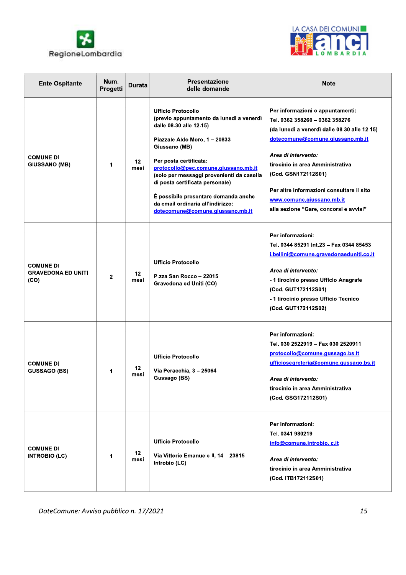



| <b>Ente Ospitante</b>                                 | Num.<br>Progetti | <b>Durata</b>           | <b>Presentazione</b><br>delle domande                                                                                                                                                                                                                                                                                                                                                                                 | <b>Note</b>                                                                                                                                                                                                                                                                                                                                                  |
|-------------------------------------------------------|------------------|-------------------------|-----------------------------------------------------------------------------------------------------------------------------------------------------------------------------------------------------------------------------------------------------------------------------------------------------------------------------------------------------------------------------------------------------------------------|--------------------------------------------------------------------------------------------------------------------------------------------------------------------------------------------------------------------------------------------------------------------------------------------------------------------------------------------------------------|
| <b>COMUNE DI</b><br><b>GIUSSANO (MB)</b>              | 1                | 12 <sub>2</sub><br>mesi | <b>Ufficio Protocollo</b><br>(previo appuntamento da lunedì a venerdì<br>dalle 08.30 alle 12.15)<br>Piazzale Aldo Moro, 1 - 20833<br>Giussano (MB)<br>Per posta certificata:<br>protocollo@pec.comune.giussano.mb.it<br>(solo per messaggi provenienti da casella<br>di posta certificata personale)<br>È possibile presentare domanda anche<br>da email ordinaria all'indirizzo:<br>dotecomune@comune.giussano.mb.it | Per informazioni o appuntamenti:<br>Tel. 0362 358260 - 0362 358276<br>(da lunedì a venerdì dalle 08.30 alle 12.15)<br>dotecomune@comune.giussano.mb.it<br>Area di intervento:<br>tirocinio in area Amministrativa<br>(Cod. GSN172112S01)<br>Per altre informazioni consultare il sito<br>www.comune.giussano.mb.it<br>alla sezione "Gare, concorsi e avvisi" |
| <b>COMUNE DI</b><br><b>GRAVEDONA ED UNITI</b><br>(CO) | $\mathbf{2}$     | 12<br>mesi              | <b>Ufficio Protocollo</b><br>P.zza San Rocco - 22015<br>Gravedona ed Uniti (CO)                                                                                                                                                                                                                                                                                                                                       | Per informazioni:<br>Tel. 0344 85291 Int.23 - Fax 0344 85453<br>i.bellini@comune.gravedonaeduniti.co.it<br>Area di intervento:<br>- 1 tirocinio presso Ufficio Anagrafe<br>(Cod. GUT172112S01)<br>- 1 tirocinio presso Ufficio Tecnico<br>(Cod. GUT172112S02)                                                                                                |
| <b>COMUNE DI</b><br><b>GUSSAGO (BS)</b>               | 1                | 12<br>mesi              | <b>Ufficio Protocollo</b><br>Via Peracchia, 3 - 25064<br>Gussago (BS)                                                                                                                                                                                                                                                                                                                                                 | Per informazioni:<br>Tel. 030 2522919 - Fax 030 2520911<br>protocollo@comune.gussago.bs.it<br>ufficiosegreteria@comune.gussago.bs.it<br>Area di intervento:<br>tirocinio in area Amministrativa<br>(Cod. GSG172112S01)                                                                                                                                       |
| <b>COMUNE DI</b><br><b>INTROBIO (LC)</b>              | 1                | 12<br>mesi              | <b>Ufficio Protocollo</b><br>Via Vittorio Emanuele II, 14 - 23815<br>Introbio (LC)                                                                                                                                                                                                                                                                                                                                    | Per informazioni:<br>Tel. 0341 980219<br>info@comune.introbio.lc.it<br>Area di intervento:<br>tirocinio in area Amministrativa<br>(Cod. ITB172112S01)                                                                                                                                                                                                        |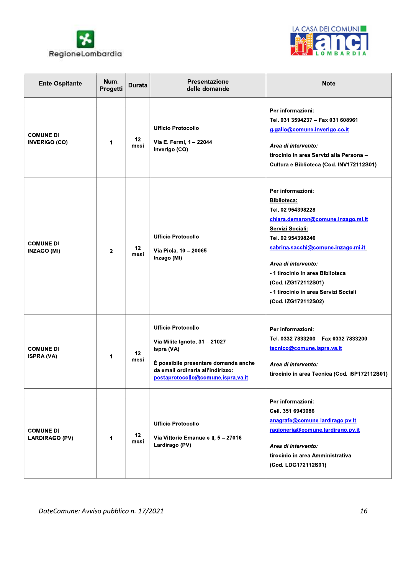



| <b>Ente Ospitante</b>                     | Num.<br>Progetti | <b>Durata</b>           | Presentazione<br>delle domande                                                                                                                                                              | <b>Note</b>                                                                                                                                                                                                                                                                                                                  |
|-------------------------------------------|------------------|-------------------------|---------------------------------------------------------------------------------------------------------------------------------------------------------------------------------------------|------------------------------------------------------------------------------------------------------------------------------------------------------------------------------------------------------------------------------------------------------------------------------------------------------------------------------|
| <b>COMUNE DI</b><br><b>INVERIGO (CO)</b>  | 1                | 12 <sub>2</sub><br>mesi | <b>Ufficio Protocollo</b><br>Via E. Fermi, 1 - 22044<br>Inverigo (CO)                                                                                                                       | Per informazioni:<br>Tel. 031 3594237 - Fax 031 608961<br>g.gallo@comune.inverigo.co.it<br>Area di intervento:<br>tirocinio in area Servizi alla Persona -<br>Cultura e Biblioteca (Cod. INV172112S01)                                                                                                                       |
| <b>COMUNE DI</b><br><b>INZAGO (MI)</b>    | 2                | 12 <sub>2</sub><br>mesi | <b>Ufficio Protocollo</b><br>Via Piola, 10 - 20065<br>Inzago (MI)                                                                                                                           | Per informazioni:<br>Biblioteca:<br>Tel. 02 954398228<br>chiara.demaron@comune.inzago.mi.it<br>Servizi Sociali:<br>Tel. 02 954398246<br>sabrina.sacchi@comune.inzago.mi.it<br>Area di intervento:<br>- 1 tirocinio in area Biblioteca<br>(Cod. IZG172112S01)<br>- 1 tirocinio in area Servizi Sociali<br>(Cod. IZG172112S02) |
| <b>COMUNE DI</b><br><b>ISPRA (VA)</b>     | 1                | 12 <sup>2</sup><br>mesi | <b>Ufficio Protocollo</b><br>Via Milite Ignoto, 31 - 21027<br>Ispra (VA)<br>È possibile presentare domanda anche<br>da email ordinaria all'indirizzo:<br>postaprotocollo@comune.ispra.va.it | Per informazioni:<br>Tel. 0332 7833200 - Fax 0332 7833200<br>tecnico@comune.ispra.va.it<br>Area di intervento:<br>tirocinio in area Tecnica (Cod. ISP172112S01)                                                                                                                                                              |
| <b>COMUNE DI</b><br><b>LARDIRAGO (PV)</b> | 1                | 12 <sub>2</sub><br>mesi | <b>Ufficio Protocollo</b><br>Via Vittorio Emanuele II, 5-27016<br>Lardirago (PV)                                                                                                            | Per informazioni:<br>Cell. 351 6943086<br>anagrafe@comune.lardirago.pv.it<br>ragioneria@comune.lardirago.pv.it<br>Area di intervento:<br>tirocinio in area Amministrativa<br>(Cod. LDG172112S01)                                                                                                                             |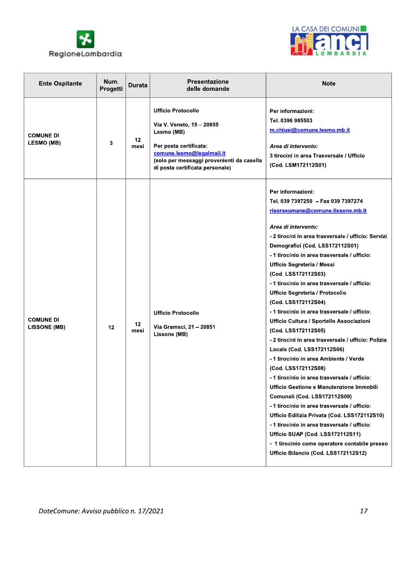



| <b>Ente Ospitante</b>                   | Num.<br>Progetti | <b>Durata</b> | Presentazione<br>delle domande                                                                                                                                                                              | <b>Note</b>                                                                                                                                                                                                                                                                                                                                                                                                                                                                                                                                                                                                                                                                                                                                                                                                                                                                                                                                                                                                                                                                                                   |
|-----------------------------------------|------------------|---------------|-------------------------------------------------------------------------------------------------------------------------------------------------------------------------------------------------------------|---------------------------------------------------------------------------------------------------------------------------------------------------------------------------------------------------------------------------------------------------------------------------------------------------------------------------------------------------------------------------------------------------------------------------------------------------------------------------------------------------------------------------------------------------------------------------------------------------------------------------------------------------------------------------------------------------------------------------------------------------------------------------------------------------------------------------------------------------------------------------------------------------------------------------------------------------------------------------------------------------------------------------------------------------------------------------------------------------------------|
| <b>COMUNE DI</b><br><b>LESMO (MB)</b>   | 3                | 12<br>mesi    | <b>Ufficio Protocollo</b><br>Via V. Veneto, 15 - 20855<br>Lesmo (MB)<br>Per posta certificata:<br>comune.lesmo@legalmail.it<br>(solo per messaggi provenienti da casella<br>di posta certificata personale) | Per informazioni:<br>Tel. 0396 985503<br>m.chiusi@comune.lesmo.mb.it<br>Area di intervento:<br>3 tirocini in area Trasversale / Ufficio<br>(Cod. LSM172112S01)                                                                                                                                                                                                                                                                                                                                                                                                                                                                                                                                                                                                                                                                                                                                                                                                                                                                                                                                                |
| <b>COMUNE DI</b><br><b>LISSONE (MB)</b> | 12               | 12<br>mesi    | <b>Ufficio Protocollo</b><br>Via Gramsci, 21 - 20851<br>Lissone (MB)                                                                                                                                        | Per informazioni:<br>Tel. 039 7397250 - Fax 039 7397274<br>risorseumane@comune.lissone.mb.it<br>Area di intervento:<br>- 2 tirocini in area trasversale / ufficio: Servizi<br>Demografici (Cod. LSS172112S01)<br>- 1 tirocinio in area trasversale / ufficio:<br>Ufficio Segreteria / Messi<br>(Cod. LSS172112S03)<br>- 1 tirocinio in area trasversale / ufficio:<br>Ufficio Segreteria / Protocollo<br>(Cod. LSS172112S04)<br>- 1 tirocinio in area trasversale / ufficio:<br>Ufficio Cultura / Sportello Associazioni<br>(Cod. LSS172112S05)<br>- 2 tirocini in area trasversale / ufficio: Polizia<br>Locale (Cod. LSS172112S06)<br>-1 tirocinio in area Ambiente / Verde<br>(Cod. LSS172112S08)<br>- 1 tirocinio in area trasversale / ufficio:<br>Ufficio Gestione e Manutenzione Immobili<br>Comunali (Cod. LSS172112S09)<br>- 1 tirocinio in area trasversale / ufficio:<br>Ufficio Edilizia Privata (Cod. LSS172112S10)<br>- 1 tirocinio in area trasversale / ufficio:<br>Ufficio SUAP (Cod. LSS172112S11)<br>- 1 tirocinio come operatore contabile presso<br>Ufficio Bilancio (Cod. LSS172112S12) |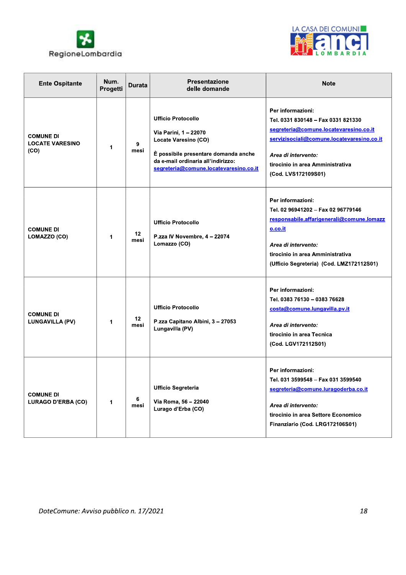



| <b>Ente Ospitante</b>                              | Num.<br>Progetti | <b>Durata</b>   | <b>Presentazione</b><br>delle domande                                                                                                                                                              | <b>Note</b>                                                                                                                                                                                                                       |
|----------------------------------------------------|------------------|-----------------|----------------------------------------------------------------------------------------------------------------------------------------------------------------------------------------------------|-----------------------------------------------------------------------------------------------------------------------------------------------------------------------------------------------------------------------------------|
| <b>COMUNE DI</b><br><b>LOCATE VARESINO</b><br>(CO) | 1                | 9<br>mesi       | <b>Ufficio Protocollo</b><br>Via Parini, 1 - 22070<br>Locate Varesino (CO)<br>È possibile presentare domanda anche<br>da e-mail ordinaria all'indirizzo:<br>segreteria@comune.locatevaresino.co.it | Per informazioni:<br>Tel. 0331 830148 - Fax 0331 821330<br>segreteria@comune.locatevaresino.co.it<br>servizisociali@comune.locatevaresino.co.it<br>Area di intervento:<br>tirocinio in area Amministrativa<br>(Cod. LVS172109S01) |
| <b>COMUNE DI</b><br>LOMAZZO (CO)                   | 1                | 12<br>mesi      | <b>Ufficio Protocollo</b><br>P.zza IV Novembre, 4 - 22074<br>Lomazzo (CO)                                                                                                                          | Per informazioni:<br>Tel. 02 96941202 - Fax 02 96779146<br>responsabile.affarigenerali@comune.lomazz<br>o.co.it<br>Area di intervento:<br>tirocinio in area Amministrativa<br>(Ufficio Segreteria) (Cod. LMZ172112S01)            |
| <b>COMUNE DI</b><br><b>LUNGAVILLA (PV)</b>         | 1                | $12 \,$<br>mesi | <b>Ufficio Protocollo</b><br>P.zza Capitano Albini, 3 - 27053<br>Lungavilla (PV)                                                                                                                   | Per informazioni:<br>Tel. 0383 76130 - 0383 76628<br>costa@comune.lungavilla.pv.it<br>Area di intervento:<br>tirocinio in area Tecnica<br>(Cod. LGV172112S01)                                                                     |
| <b>COMUNE DI</b><br>LURAGO D'ERBA (CO)             | 1                | 6<br>mesi       | <b>Ufficio Segreteria</b><br>Via Roma, 56 - 22040<br>Lurago d'Erba (CO)                                                                                                                            | Per informazioni:<br>Tel. 031 3599548 - Fax 031 3599540<br>segreteria@comune.luragoderba.co.it<br>Area di intervento:<br>tirocinio in area Settore Economico<br>Finanziario (Cod. LRG172106S01)                                   |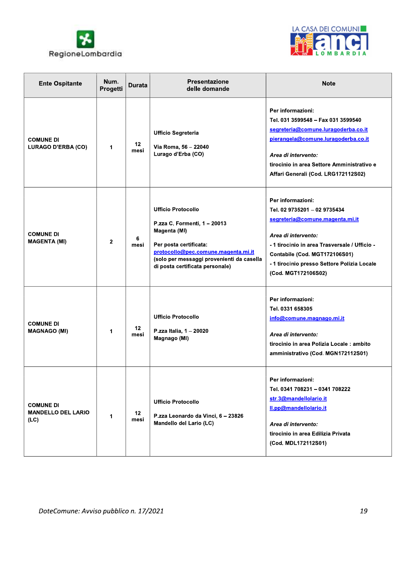



| <b>Ente Ospitante</b>                                 | Num.<br>Progetti | <b>Durata</b> | <b>Presentazione</b><br>delle domande                                                                                                                                                                                      | <b>Note</b>                                                                                                                                                                                                                                                         |
|-------------------------------------------------------|------------------|---------------|----------------------------------------------------------------------------------------------------------------------------------------------------------------------------------------------------------------------------|---------------------------------------------------------------------------------------------------------------------------------------------------------------------------------------------------------------------------------------------------------------------|
| <b>COMUNE DI</b><br>LURAGO D'ERBA (CO)                | 1                | 12<br>mesi    | <b>Ufficio Segreteria</b><br>Via Roma, 56 - 22040<br>Lurago d'Erba (CO)                                                                                                                                                    | Per informazioni:<br>Tel. 031 3599548 - Fax 031 3599540<br>segreteria@comune.luragoderba.co.it<br>pierangela@comune.luragoderba.co.it<br>Area di intervento:<br>tirocinio in area Settore Amministrativo e<br>Affari Generali (Cod. LRG172112S02)                   |
| <b>COMUNE DI</b><br><b>MAGENTA (MI)</b>               | $\mathbf{2}$     | 6<br>mesi     | <b>Ufficio Protocollo</b><br>P.zza C. Formenti, 1 - 20013<br>Magenta (MI)<br>Per posta certificata:<br>protocollo@pec.comune.magenta.mi.it<br>(solo per messaggi provenienti da casella<br>di posta certificata personale) | Per informazioni:<br>Tel. 02 9735201 - 02 9735434<br>segreteria@comune.magenta.mi.it<br>Area di intervento:<br>- 1 tirocinio in area Trasversale / Ufficio -<br>Contabile (Cod. MGT172106S01)<br>- 1 tirocinio presso Settore Polizia Locale<br>(Cod. MGT172106S02) |
| <b>COMUNE DI</b><br><b>MAGNAGO (MI)</b>               | 1                | 12<br>mesi    | <b>Ufficio Protocollo</b><br>P.zza Italia, 1 - 20020<br>Magnago (MI)                                                                                                                                                       | Per informazioni:<br>Tel. 0331 658305<br>info@comune.magnago.mi.it<br>Area di intervento:<br>tirocinio in area Polizia Locale: ambito<br>amministrativo (Cod. MGN172112S01)                                                                                         |
| <b>COMUNE DI</b><br><b>MANDELLO DEL LARIO</b><br>(LC) | 1                | 12<br>mesi    | <b>Ufficio Protocollo</b><br>P.zza Leonardo da Vinci, 6 - 23826<br>Mandello del Lario (LC)                                                                                                                                 | Per informazioni:<br>Tel. 0341 708231 - 0341 708222<br>str.3@mandellolario.it<br>II.pp@mandellolario.it<br>Area di intervento:<br>tirocinio in area Edilizia Privata<br>(Cod. MDL172112S01)                                                                         |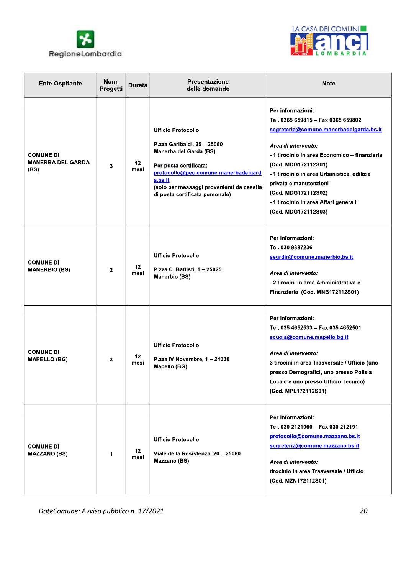



| <b>Ente Ospitante</b>                                | Num.<br>Progetti | <b>Durata</b>   | <b>Presentazione</b><br>delle domande                                                                                                                                                                                                           | <b>Note</b>                                                                                                                                                                                                                                                                                                                                                       |
|------------------------------------------------------|------------------|-----------------|-------------------------------------------------------------------------------------------------------------------------------------------------------------------------------------------------------------------------------------------------|-------------------------------------------------------------------------------------------------------------------------------------------------------------------------------------------------------------------------------------------------------------------------------------------------------------------------------------------------------------------|
| <b>COMUNE DI</b><br><b>MANERBA DEL GARDA</b><br>(BS) | 3                | $12 \,$<br>mesi | <b>Ufficio Protocollo</b><br>P.zza Garibaldi, 25 - 25080<br>Manerba del Garda (BS)<br>Per posta certificata:<br>protocollo@pec.comune.manerbadelgard<br>a.bs.it<br>(solo per messaggi provenienti da casella<br>di posta certificata personale) | Per informazioni:<br>Tel. 0365 659815 - Fax 0365 659802<br>segreteria@comune.manerbadelgarda.bs.it<br>Area di intervento:<br>- 1 tirocinio in area Economico – finanziaria<br>(Cod. MDG172112S01)<br>- 1 tirocinio in area Urbanistica, edilizia<br>privata e manutenzioni<br>(Cod. MDG172112S02)<br>- 1 tirocinio in area Affari generali<br>(Cod. MDG172112S03) |
| <b>COMUNE DI</b><br><b>MANERBIO (BS)</b>             | $\mathbf{2}$     | 12<br>mesi      | <b>Ufficio Protocollo</b><br>P.zza C. Battisti, 1 - 25025<br>Manerbio (BS)                                                                                                                                                                      | Per informazioni:<br>Tel. 030 9387236<br>segrdir@comune.manerbio.bs.it<br>Area di intervento:<br>- 2 tirocini in area Amministrativa e<br>Finanziaria (Cod. MNB172112S01)                                                                                                                                                                                         |
| <b>COMUNE DI</b><br><b>MAPELLO (BG)</b>              | 3                | 12<br>mesi      | <b>Ufficio Protocollo</b><br>P.zza IV Novembre, 1 - 24030<br>Mapello (BG)                                                                                                                                                                       | Per informazioni:<br>Tel. 035 4652533 - Fax 035 4652501<br>scuola@comune.mapello.bg.it<br>Area di intervento:<br>3 tirocini in area Trasversale / Ufficio (uno<br>presso Demografici, uno presso Polizia<br>Locale e uno presso Ufficio Tecnico)<br>(Cod. MPL172112S01)                                                                                           |
| <b>COMUNE DI</b><br><b>MAZZANO (BS)</b>              | 1                | $12 \,$<br>mesi | <b>Ufficio Protocollo</b><br>Viale della Resistenza, 20 - 25080<br>Mazzano (BS)                                                                                                                                                                 | Per informazioni:<br>Tel. 030 2121960 - Fax 030 212191<br>protocollo@comune.mazzano.bs.it<br>segreteria@comune.mazzano.bs.it<br>Area di intervento:<br>tirocinio in area Trasversale / Ufficio<br>(Cod. MZN172112S01)                                                                                                                                             |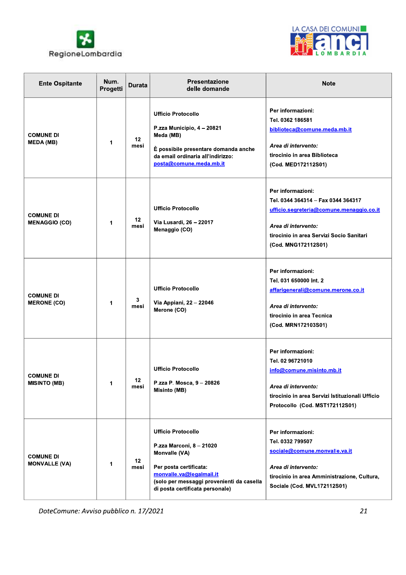



| <b>Ente Ospitante</b>                    | Num.<br>Progetti | <b>Durata</b> | <b>Presentazione</b><br>delle domande                                                                                                                                                                        | <b>Note</b>                                                                                                                                                                                   |
|------------------------------------------|------------------|---------------|--------------------------------------------------------------------------------------------------------------------------------------------------------------------------------------------------------------|-----------------------------------------------------------------------------------------------------------------------------------------------------------------------------------------------|
| <b>COMUNE DI</b><br><b>MEDA (MB)</b>     | 1                | 12<br>mesi    | <b>Ufficio Protocollo</b><br>P.zza Municipio, 4 - 20821<br>Meda (MB)<br>È possibile presentare domanda anche<br>da email ordinaria all'indirizzo:<br>posta@comune.meda.mb.it                                 | Per informazioni:<br>Tel. 0362 186581<br>biblioteca@comune.meda.mb.it<br>Area di intervento:<br>tirocinio in area Biblioteca<br>(Cod. MED172112S01)                                           |
| <b>COMUNE DI</b><br><b>MENAGGIO (CO)</b> | 1                | 12<br>mesi    | <b>Ufficio Protocollo</b><br>Via Lusardi, 26 - 22017<br>Menaggio (CO)                                                                                                                                        | Per informazioni:<br>Tel. 0344 364314 - Fax 0344 364317<br>ufficio.segreteria@comune.menaggio.co.it<br>Area di intervento:<br>tirocinio in area Servizi Socio Sanitari<br>(Cod. MNG172112S01) |
| <b>COMUNE DI</b><br><b>MERONE (CO)</b>   | 1                | 3<br>mesi     | <b>Ufficio Protocollo</b><br>Via Appiani, 22 - 22046<br>Merone (CO)                                                                                                                                          | Per informazioni:<br>Tel. 031 650000 Int. 2<br>affarigenerali@comune.merone.co.it<br>Area di intervento:<br>tirocinio in area Tecnica<br>(Cod. MRN172103S01)                                  |
| <b>COMUNE DI</b><br><b>MISINTO (MB)</b>  | 1                | 12<br>mesi    | <b>Ufficio Protocollo</b><br>P.zza P. Mosca, 9 - 20826<br>Misinto (MB)                                                                                                                                       | Per informazioni:<br>Tel. 02 96721010<br>info@comune.misinto.mb.it<br>Area di intervento:<br>tirocinio in area Servizi Istituzionali Ufficio<br>Protocollo (Cod. MST172112S01)                |
| <b>COMUNE DI</b><br><b>MONVALLE (VA)</b> | 1                | 12<br>mesi    | <b>Ufficio Protocollo</b><br>P.zza Marconi, 8 - 21020<br>Monvalle (VA)<br>Per posta certificata:<br>monvalle.va@legalmail.it<br>(solo per messaggi provenienti da casella<br>di posta certificata personale) | Per informazioni:<br>Tel. 0332 799507<br>sociale@comune.monvalle.va.it<br>Area di intervento:<br>tirocinio in area Amministrazione, Cultura,<br>Sociale (Cod. MVL172112S01)                   |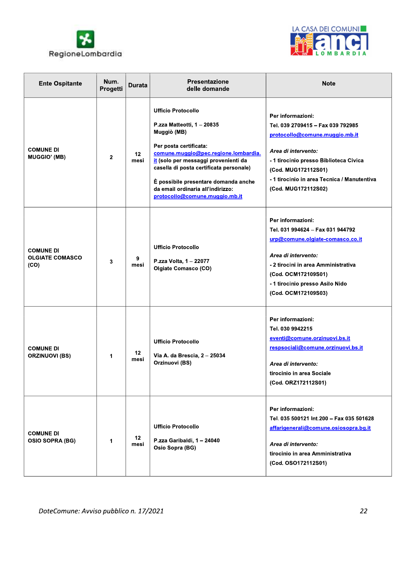



| <b>Ente Ospitante</b>                              | Num.<br>Progetti | <b>Durata</b> | <b>Presentazione</b><br>delle domande                                                                                                                                                                                                                                                                                                      | <b>Note</b>                                                                                                                                                                                                                                            |
|----------------------------------------------------|------------------|---------------|--------------------------------------------------------------------------------------------------------------------------------------------------------------------------------------------------------------------------------------------------------------------------------------------------------------------------------------------|--------------------------------------------------------------------------------------------------------------------------------------------------------------------------------------------------------------------------------------------------------|
| <b>COMUNE DI</b><br><b>MUGGIO' (MB)</b>            | $\mathbf{2}$     | 12<br>mesi    | <b>Ufficio Protocollo</b><br>P.zza Matteotti, 1 - 20835<br>Muggiò (MB)<br>Per posta certificata:<br>comune.muggio@pec.regione.lombardia.<br>it (solo per messaggi provenienti da<br>casella di posta certificata personale)<br>È possibile presentare domanda anche<br>da email ordinaria all'indirizzo:<br>protocollo@comune.muggio.mb.it | Per informazioni:<br>Tel. 039 2709415 - Fax 039 792985<br>protocollo@comune.muggio.mb.it<br>Area di intervento:<br>- 1 tirocinio presso Biblioteca Civica<br>(Cod. MUG172112S01)<br>- 1 tirocinio in area Tecnica / Manutentiva<br>(Cod. MUG172112S02) |
| <b>COMUNE DI</b><br><b>OLGIATE COMASCO</b><br>(CO) | 3                | 9<br>mesi     | <b>Ufficio Protocollo</b><br>P.zza Volta, 1 - 22077<br><b>Olgiate Comasco (CO)</b>                                                                                                                                                                                                                                                         | Per informazioni:<br>Tel. 031 994624 - Fax 031 944792<br>urp@comune.olgiate-comasco.co.it<br>Area di intervento:<br>- 2 tirocini in area Amministrativa<br>(Cod. OCM172109S01)<br>- 1 tirocinio presso Asilo Nido<br>(Cod. OCM172109S03)               |
| <b>COMUNE DI</b><br><b>ORZINUOVI (BS)</b>          | 1                | 12<br>mesi    | <b>Ufficio Protocollo</b><br>Via A. da Brescia, 2 - 25034<br>Orzinuovi (BS)                                                                                                                                                                                                                                                                | Per informazioni:<br>Tel. 030 9942215<br>eventi@comune.orzinuovi.bs.it<br>respsociali@comune.orzinuovi.bs.it<br>Area di intervento:<br>tirocinio in area Sociale<br>(Cod. ORZ172112S01)                                                                |
| <b>COMUNE DI</b><br><b>OSIO SOPRA (BG)</b>         | 1                | 12<br>mesi    | <b>Ufficio Protocollo</b><br>P.zza Garibaldi, 1 - 24040<br>Osio Sopra (BG)                                                                                                                                                                                                                                                                 | Per informazioni:<br>Tel. 035 500121 Int.200 - Fax 035 501628<br>affarigenerali@comune.osiosopra.bg.it<br>Area di intervento:<br>tirocinio in area Amministrativa<br>(Cod. OSO172112S01)                                                               |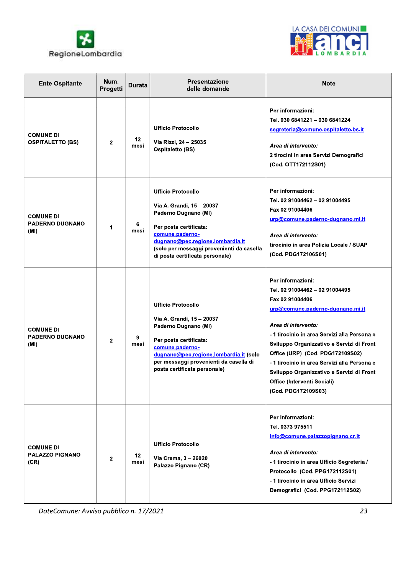



| <b>Ente Ospitante</b>                              | Num.<br>Progetti | <b>Durata</b>   | <b>Presentazione</b><br>delle domande                                                                                                                                                                                                           | <b>Note</b>                                                                                                                                                                                                                                                                                                                                                                                                           |
|----------------------------------------------------|------------------|-----------------|-------------------------------------------------------------------------------------------------------------------------------------------------------------------------------------------------------------------------------------------------|-----------------------------------------------------------------------------------------------------------------------------------------------------------------------------------------------------------------------------------------------------------------------------------------------------------------------------------------------------------------------------------------------------------------------|
| <b>COMUNE DI</b><br><b>OSPITALETTO (BS)</b>        | $\mathbf{2}$     | 12<br>mesi      | <b>Ufficio Protocollo</b><br>Via Rizzi, 24 - 25035<br><b>Ospitaletto (BS)</b>                                                                                                                                                                   | Per informazioni:<br>Tel. 030 6841221 - 030 6841224<br>segreteria@comune.ospitaletto.bs.it<br>Area di intervento:<br>2 tirocini in area Servizi Demografici<br>(Cod. OTT172112S01)                                                                                                                                                                                                                                    |
| <b>COMUNE DI</b><br><b>PADERNO DUGNANO</b><br>(MI) | 1                | 6<br>mesi       | <b>Ufficio Protocollo</b><br>Via A. Grandi, 15 - 20037<br>Paderno Dugnano (MI)<br>Per posta certificata:<br>comune.paderno-<br>dugnano@pec.regione.lombardia.it<br>(solo per messaggi provenienti da casella<br>di posta certificata personale) | Per informazioni:<br>Tel. 02 91004462 - 02 91004495<br>Fax 02 91004406<br>urp@comune.paderno-dugnano.mi.it<br>Area di intervento:<br>tirocinio in area Polizia Locale / SUAP<br>(Cod. PDG172106S01)                                                                                                                                                                                                                   |
| <b>COMUNE DI</b><br><b>PADERNO DUGNANO</b><br>(MI) | $\mathbf{2}$     | 9<br>mesi       | <b>Ufficio Protocollo</b><br>Via A. Grandi, 15 - 20037<br>Paderno Dugnano (MI)<br>Per posta certificata:<br>comune.paderno-<br>dugnano@pec.regione.lombardia.it (solo<br>per messaggi provenienti da casella di<br>posta certificata personale) | Per informazioni:<br>Tel. 02 91004462 - 02 91004495<br>Fax 02 91004406<br>urp@comune.paderno-dugnano.mi.it<br>Area di intervento:<br>- 1 tirocinio in area Servizi alla Persona e<br>Sviluppo Organizzativo e Servizi di Front<br>Office (URP) (Cod. PDG172109S02)<br>- 1 tirocinio in area Servizi alla Persona e<br>Sviluppo Organizzativo e Servizi di Front<br>Office (Interventi Sociali)<br>(Cod. PDG172109S03) |
| <b>COMUNE DI</b><br><b>PALAZZO PIGNANO</b><br>(CR) | $\overline{2}$   | $12 \,$<br>mesi | <b>Ufficio Protocollo</b><br>Via Crema, 3 - 26020<br>Palazzo Pignano (CR)                                                                                                                                                                       | Per informazioni:<br>Tel. 0373 975511<br>info@comune.palazzopignano.cr.it<br>Area di intervento:<br>- 1 tirocinio in area Ufficio Segreteria /<br>Protocollo (Cod. PPG172112S01)<br>- 1 tirocinio in area Ufficio Servizi<br>Demografici (Cod. PPG172112S02)                                                                                                                                                          |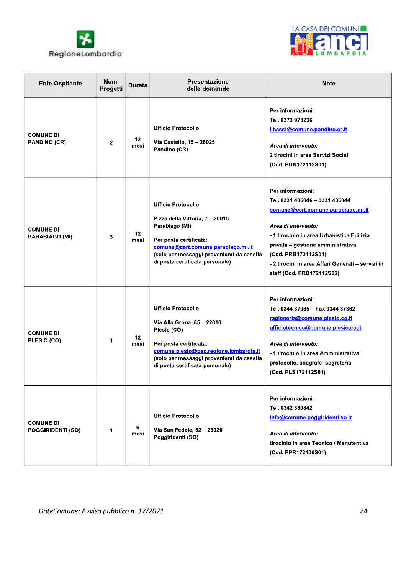



| <b>Ente Ospitante</b>                        | Num.<br>Progetti | <b>Durata</b> | <b>Presentazione</b><br>delle domande                                                                                                                                                                                          | <b>Note</b>                                                                                                                                                                                                                                                                                                 |
|----------------------------------------------|------------------|---------------|--------------------------------------------------------------------------------------------------------------------------------------------------------------------------------------------------------------------------------|-------------------------------------------------------------------------------------------------------------------------------------------------------------------------------------------------------------------------------------------------------------------------------------------------------------|
| <b>COMUNE DI</b><br><b>PANDINO (CR)</b>      | $\mathbf{2}$     | 12<br>mesi    | <b>Ufficio Protocollo</b><br>Via Castello, 15 - 26025<br>Pandino (CR)                                                                                                                                                          | Per informazioni:<br>Tel. 0373 973236<br>l.bassi@comune.pandino.cr.it<br>Area di intervento:<br>2 tirocini in area Servizi Sociali<br>(Cod. PDN172112S01)                                                                                                                                                   |
| <b>COMUNE DI</b><br>PARABIAGO (MI)           | 3                | 12<br>mesi    | <b>Ufficio Protocollo</b><br>P.zza della Vittoria, 7 - 20015<br>Parabiago (MI)<br>Per posta certificata:<br>comune@cert.comune.parabiago.mi.it<br>(solo per messaggi provenienti da casella<br>di posta certificata personale) | Per informazioni:<br>Tel. 0331 406046 - 0331 406044<br>comune@cert.comune.parabiago.mi.it<br>Area di intervento:<br>-1 tirocinio in area Urbanistica Edilizia<br>privata - gestione amministrativa<br>(Cod. PRB172112S01)<br>- 2 tirocini in area Affari Generali - servizi in<br>staff (Cod. PRB172112S02) |
| <b>COMUNE DI</b><br>PLESIO (CO)              | 1                | 12<br>mesi    | <b>Ufficio Protocollo</b><br>Via Alla Grona, 85 - 22010<br>Plesio (CO)<br>Per posta certificata:<br>comune.plesio@pec.regione.lombardia.it<br>(solo per messaggi provenienti da casella<br>di posta certificata personale)     | Per informazioni:<br>Tel. 0344 37065 - Fax 0344 37362<br>ragioneria@comune.plesio.co.it<br>ufficiotecnico@comune.plesio.co.it<br>Area di intervento:<br>- 1 tirocinio in area Amministrativa:<br>protocollo, anagrafe, segreteria<br>(Cod. PLS172112S01)                                                    |
| <b>COMUNE DI</b><br><b>POGGIRIDENTI (SO)</b> | 1                | 6<br>mesi     | <b>Ufficio Protocollo</b><br>Via San Fedele, 52 - 23020<br>Poggiridenti (SO)                                                                                                                                                   | Per informazioni:<br>Tel. 0342 380842<br>info@comune.poggiridenti.so.it<br>Area di intervento:<br>tirocinio in area Tecnico / Manutentiva<br>(Cod. PPR172106S01)                                                                                                                                            |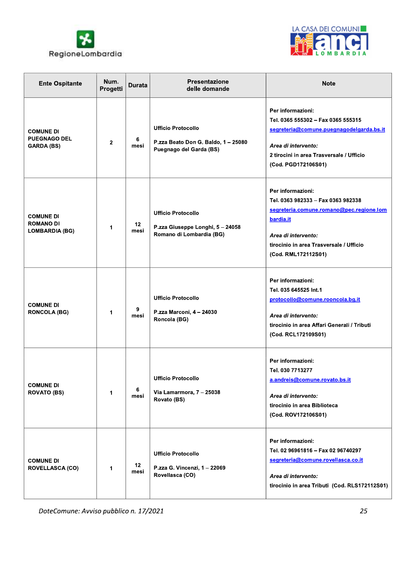



| <b>Ente Ospitante</b>                                         | Num.<br>Progetti | <b>Durata</b> | Presentazione<br>delle domande                                                              | <b>Note</b>                                                                                                                                                                                               |
|---------------------------------------------------------------|------------------|---------------|---------------------------------------------------------------------------------------------|-----------------------------------------------------------------------------------------------------------------------------------------------------------------------------------------------------------|
| <b>COMUNE DI</b><br><b>PUEGNAGO DEL</b><br><b>GARDA (BS)</b>  | $\mathbf{2}$     | 6<br>mesi     | <b>Ufficio Protocollo</b><br>P.zza Beato Don G. Baldo, 1 - 25080<br>Puegnago del Garda (BS) | Per informazioni:<br>Tel. 0365 555302 - Fax 0365 555315<br>segreteria@comune.puegnagodelgarda.bs.it<br>Area di intervento:<br>2 tirocini in area Trasversale / Ufficio<br>(Cod. PGD172106S01)             |
| <b>COMUNE DI</b><br><b>ROMANO DI</b><br><b>LOMBARDIA (BG)</b> | 1                | 12<br>mesi    | <b>Ufficio Protocollo</b><br>P.zza Giuseppe Longhi, 5 - 24058<br>Romano di Lombardia (BG)   | Per informazioni:<br>Tel. 0363 982333 - Fax 0363 982338<br>segreteria.comune.romano@pec.regione.lom<br>bardia.it<br>Area di intervento:<br>tirocinio in area Trasversale / Ufficio<br>(Cod. RML172112S01) |
| <b>COMUNE DI</b><br><b>RONCOLA (BG)</b>                       | 1                | 9<br>mesi     | <b>Ufficio Protocollo</b><br>P.zza Marconi, 4 - 24030<br>Roncola (BG)                       | Per informazioni:<br>Tel. 035 645525 Int.1<br>protocollo@comune.rooncola.bg.it<br>Area di intervento:<br>tirocinio in area Affari Generali / Tributi<br>(Cod. RCL172109S01)                               |
| <b>COMUNE DI</b><br><b>ROVATO (BS)</b>                        | 1                | 6<br>mesi     | <b>Ufficio Protocollo</b><br>Via Lamarmora, 7 - 25038<br>Rovato (BS)                        | Per informazioni:<br>Tel. 030 7713277<br>a.andreis@comune.rovato.bs.it<br>Area di intervento:<br>tirocinio in area Biblioteca<br>(Cod. ROV172106S01)                                                      |
| <b>COMUNE DI</b><br><b>ROVELLASCA (CO)</b>                    | 1                | 12<br>mesi    | <b>Ufficio Protocollo</b><br>P.zza G. Vincenzi, 1 - 22069<br>Rovellasca (CO)                | Per informazioni:<br>Tel. 02 96961816 - Fax 02 96740297<br>segreteria@comune.rovellasca.co.it<br>Area di intervento:<br>tirocinio in area Tributi (Cod. RLS172112S01)                                     |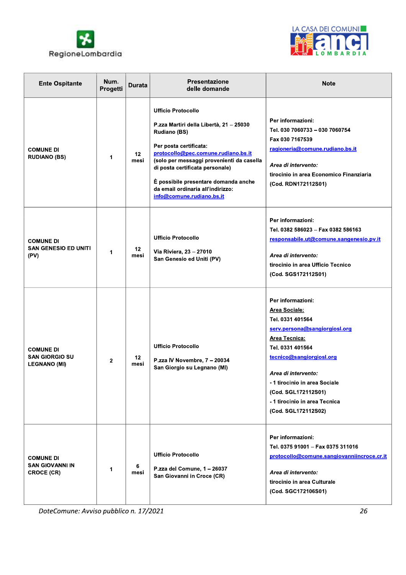



| <b>Ente Ospitante</b>                                            | Num.<br>Progetti | <b>Durata</b>            | <b>Presentazione</b><br>delle domande                                                                                                                                                                                                                                                                                                                  | <b>Note</b>                                                                                                                                                                                                                                                                                           |
|------------------------------------------------------------------|------------------|--------------------------|--------------------------------------------------------------------------------------------------------------------------------------------------------------------------------------------------------------------------------------------------------------------------------------------------------------------------------------------------------|-------------------------------------------------------------------------------------------------------------------------------------------------------------------------------------------------------------------------------------------------------------------------------------------------------|
| <b>COMUNE DI</b><br><b>RUDIANO (BS)</b>                          | 1                | 12 <sup>12</sup><br>mesi | <b>Ufficio Protocollo</b><br>P.zza Martiri della Libertà, 21 - 25030<br><b>Rudiano (BS)</b><br>Per posta certificata:<br>protocollo@pec.comune.rudiano.bs.it<br>(solo per messaggi provenienti da casella<br>di posta certificata personale)<br>È possibile presentare domanda anche<br>da email ordinaria all'indirizzo:<br>info@comune.rudiano.bs.it | Per informazioni:<br>Tel. 030 7060733 - 030 7060754<br>Fax 030 7167539<br>ragioneria@comune.rudiano.bs.it<br>Area di intervento:<br>tirocinio in area Economico Finanziaria<br>(Cod. RDN172112S01)                                                                                                    |
| <b>COMUNE DI</b><br><b>SAN GENESIO ED UNITI</b><br>(PV)          | 1                | 12<br>mesi               | <b>Ufficio Protocollo</b><br>Via Riviera, 23 - 27010<br>San Genesio ed Uniti (PV)                                                                                                                                                                                                                                                                      | Per informazioni:<br>Tel. 0382 586023 - Fax 0382 586163<br>responsabile.ut@comune.sangenesio.pv.it<br>Area di intervento:<br>tirocinio in area Ufficio Tecnico<br>(Cod. SGS172112S01)                                                                                                                 |
| <b>COMUNE DI</b><br><b>SAN GIORGIO SU</b><br><b>LEGNANO (MI)</b> | $\mathbf{2}$     | 12<br>mesi               | <b>Ufficio Protocollo</b><br>P.zza IV Novembre, 7 - 20034<br>San Giorgio su Legnano (MI)                                                                                                                                                                                                                                                               | Per informazioni:<br><b>Area Sociale:</b><br>Tel. 0331 401564<br>serv.persona@sangiorgiosl.org<br>Area Tecnica:<br>Tel. 0331 401564<br>tecnico@sangiorgiosl.org<br>Area di intervento:<br>-1 tirocinio in area Sociale<br>(Cod. SGL172112S01)<br>- 1 tirocinio in area Tecnica<br>(Cod. SGL172112S02) |
| <b>COMUNE DI</b><br><b>SAN GIOVANNI IN</b><br>CROCE (CR)         | 1                | 6<br>mesi                | <b>Ufficio Protocollo</b><br>P.zza del Comune, 1 - 26037<br>San Giovanni in Croce (CR)                                                                                                                                                                                                                                                                 | Per informazioni:<br>Tel. 0375 91001 - Fax 0375 311016<br>protocollo@comune.sangiovanniincroce.cr.it<br>Area di intervento:<br>tirocinio in area Culturale<br>(Cod. SGC172106S01)                                                                                                                     |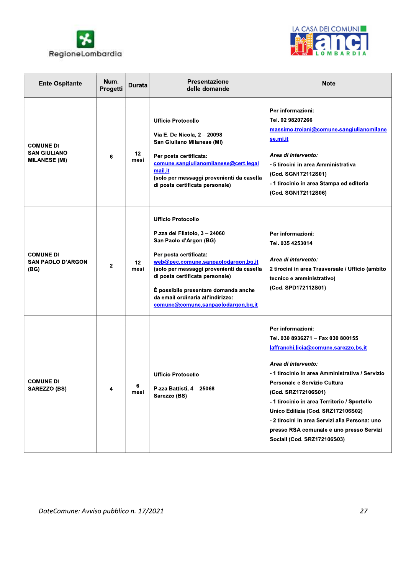



| <b>Ente Ospitante</b>                                           | Num.<br>Progetti | <b>Durata</b> | <b>Presentazione</b><br>delle domande                                                                                                                                                                                                                                                                                                                    | <b>Note</b>                                                                                                                                                                                                                                                                                                                                                                                                                                         |
|-----------------------------------------------------------------|------------------|---------------|----------------------------------------------------------------------------------------------------------------------------------------------------------------------------------------------------------------------------------------------------------------------------------------------------------------------------------------------------------|-----------------------------------------------------------------------------------------------------------------------------------------------------------------------------------------------------------------------------------------------------------------------------------------------------------------------------------------------------------------------------------------------------------------------------------------------------|
| <b>COMUNE DI</b><br><b>SAN GIULIANO</b><br><b>MILANESE (MI)</b> | 6                | 12<br>mesi    | <b>Ufficio Protocollo</b><br>Via E. De Nicola, 2 - 20098<br>San Giuliano Milanese (MI)<br>Per posta certificata:<br>comune.sangiulianomilanese@cert.legal<br>mail.it<br>(solo per messaggi provenienti da casella<br>di posta certificata personale)                                                                                                     | Per informazioni:<br>Tel. 02 98207266<br>massimo.troiani@comune.sangiulianomilane<br><u>se.mi.it</u><br>Area di intervento:<br>- 5 tirocini in area Amministrativa<br>(Cod. SGN172112S01)<br>- 1 tirocinio in area Stampa ed editoria<br>(Cod. SGN172112S06)                                                                                                                                                                                        |
| <b>COMUNE DI</b><br><b>SAN PAOLO D'ARGON</b><br>(BG)            | $\mathbf{2}$     | 12<br>mesi    | <b>Ufficio Protocollo</b><br>P.zza del Filatoio, 3 - 24060<br>San Paolo d'Argon (BG)<br>Per posta certificata:<br>web@pec.comune.sanpaolodargon.bg.it<br>(solo per messaggi provenienti da casella<br>di posta certificata personale)<br>È possibile presentare domanda anche<br>da email ordinaria all'indirizzo:<br>comune@comune.sanpaolodargon.bg.it | Per informazioni:<br>Tel. 035 4253014<br>Area di intervento:<br>2 tirocini in area Trasversale / Ufficio (ambito<br>tecnico e amministrativo)<br>(Cod. SPD172112S01)                                                                                                                                                                                                                                                                                |
| <b>COMUNE DI</b><br>SAREZZO (BS)                                | 4                | 6<br>mesi     | <b>Ufficio Protocollo</b><br>P.zza Battisti, 4 - 25068<br>Sarezzo (BS)                                                                                                                                                                                                                                                                                   | Per informazioni:<br>Tel. 030 8936271 - Fax 030 800155<br>laffranchi.licia@comune.sarezzo.bs.it<br>Area di intervento:<br>- 1 tirocinio in area Amministrativa / Servizio<br>Personale e Servizio Cultura<br>(Cod. SRZ172106S01)<br>- 1 tirocinio in area Territorio / Sportello<br>Unico Edilizia (Cod. SRZ172106S02)<br>- 2 tirocini in area Servizi alla Persona: uno<br>presso RSA comunale e uno presso Servizi<br>Sociali (Cod. SRZ172106S03) |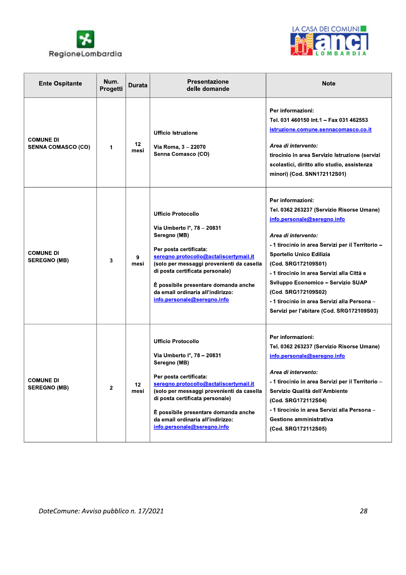



| <b>Ente Ospitante</b>                         | Num.<br>Progetti | Durata     | <b>Presentazione</b><br>delle domande                                                                                                                                                                                                                                                                                                   | <b>Note</b>                                                                                                                                                                                                                                                                                                                                                                                                                         |
|-----------------------------------------------|------------------|------------|-----------------------------------------------------------------------------------------------------------------------------------------------------------------------------------------------------------------------------------------------------------------------------------------------------------------------------------------|-------------------------------------------------------------------------------------------------------------------------------------------------------------------------------------------------------------------------------------------------------------------------------------------------------------------------------------------------------------------------------------------------------------------------------------|
| <b>COMUNE DI</b><br><b>SENNA COMASCO (CO)</b> | 1                | 12<br>mesi | <b>Ufficio Istruzione</b><br>Via Roma, 3 - 22070<br>Senna Comasco (CO)                                                                                                                                                                                                                                                                  | Per informazioni:<br>Tel. 031 460150 Int.1 - Fax 031 462553<br><u>istruzione.comune.sennacomasco.co.it</u><br>Area di intervento:<br>tirocinio in area Servizio Istruzione (servizi<br>scolastici, diritto allo studio, assistenza<br>minori) (Cod. SNN172112S01)                                                                                                                                                                   |
| <b>COMUNE DI</b><br><b>SEREGNO (MB)</b>       | 3                | 9<br>mesi  | <b>Ufficio Protocollo</b><br>Via Umberto I°, 78 - 20831<br>Seregno (MB)<br>Per posta certificata:<br>seregno.protocollo@actaliscertymail.it<br>(solo per messaggi provenienti da casella<br>di posta certificata personale)<br>È possibile presentare domanda anche<br>da email ordinaria all'indirizzo:<br>info.personale@seregno.info | Per informazioni:<br>Tel. 0362 263237 (Servizio Risorse Umane)<br>info.personale@seregno.info<br>Area di intervento:<br>- 1 tirocinio in area Servizi per il Territorio -<br>Sportello Unico Edilizia<br>(Cod. SRG172109S01)<br>-1 tirocinio in area Servizi alla Città e<br>Sviluppo Economico - Servizio SUAP<br>(Cod. SRG172109S02)<br>- 1 tirocinio in area Servizi alla Persona -<br>Servizi per l'abitare (Cod. SRG172109S03) |
| <b>COMUNE DI</b><br><b>SEREGNO (MB)</b>       | $\mathbf{2}$     | 12<br>mesi | <b>Ufficio Protocollo</b><br>Via Umberto I°, 78 - 20831<br>Seregno (MB)<br>Per posta certificata:<br>seregno.protocollo@actaliscertymail.it<br>(solo per messaggi provenienti da casella<br>di posta certificata personale)<br>È possibile presentare domanda anche<br>da email ordinaria all'indirizzo:<br>info.personale@seregno.info | Per informazioni:<br>Tel. 0362 263237 (Servizio Risorse Umane)<br>info.personale@seregno.info<br>Area di intervento:<br>- 1 tirocinio in area Servizi per il Territorio -<br>Servizio Qualità dell'Ambiente<br>(Cod. SRG172112S04)<br>-1 tirocinio in area Servizi alla Persona -<br>Gestione amministrativa<br>(Cod. SRG172112S05)                                                                                                 |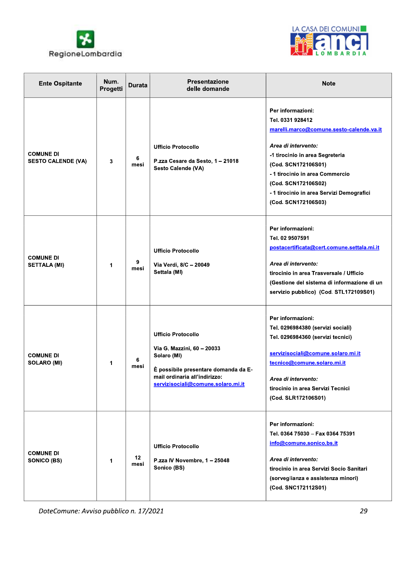



| <b>Ente Ospitante</b>                         | Num.<br>Progetti | <b>Durata</b> | <b>Presentazione</b><br>delle domande                                                                                                                                                 | <b>Note</b>                                                                                                                                                                                                                                                                                      |
|-----------------------------------------------|------------------|---------------|---------------------------------------------------------------------------------------------------------------------------------------------------------------------------------------|--------------------------------------------------------------------------------------------------------------------------------------------------------------------------------------------------------------------------------------------------------------------------------------------------|
| <b>COMUNE DI</b><br><b>SESTO CALENDE (VA)</b> | 3                | 6<br>mesi     | <b>Ufficio Protocollo</b><br>P.zza Cesare da Sesto, 1 - 21018<br>Sesto Calende (VA)                                                                                                   | Per informazioni:<br>Tel. 0331 928412<br>marelli.marco@comune.sesto-calende.va.it<br>Area di intervento:<br>-1 tirocinio in area Segreteria<br>(Cod. SCN172106S01)<br>- 1 tirocinio in area Commercio<br>(Cod. SCN172106S02)<br>- 1 tirocinio in area Servizi Demografici<br>(Cod. SCN172106S03) |
| <b>COMUNE DI</b><br><b>SETTALA (MI)</b>       | 1                | 9<br>mesi     | <b>Ufficio Protocollo</b><br>Via Verdi, 8/C - 20049<br>Settala (MI)                                                                                                                   | Per informazioni:<br>Tel. 02 9507591<br>postacertificata@cert.comune.settala.mi.it<br>Area di intervento:<br>tirocinio in area Trasversale / Ufficio<br>(Gestione del sistema di informazione di un<br>servizio pubblico) (Cod. STL172109S01)                                                    |
| <b>COMUNE DI</b><br><b>SOLARO (MI)</b>        | 1                | 6<br>mesi     | <b>Ufficio Protocollo</b><br>Via G. Mazzini, 60 - 20033<br>Solaro (MI)<br>È possibile presentare domanda da E-<br>mail ordinaria all'indirizzo:<br>servizisociali@comune.solaro.mi.it | Per informazioni:<br>Tel. 0296984380 (servizi sociali)<br>Tel. 0296984360 (servizi tecnici)<br>servizisociali@comune.solaro.mi.it<br>tecnico@comune.solaro.mi.it<br>Area di intervento:<br>tirocinio in area Servizi Tecnici<br>(Cod. SLR172106S01)                                              |
| <b>COMUNE DI</b><br>SONICO (BS)               | 1                | 12<br>mesi    | <b>Ufficio Protocollo</b><br>P.zza IV Novembre, 1 - 25048<br>Sonico (BS)                                                                                                              | Per informazioni:<br>Tel. 0364 75030 - Fax 0364 75391<br>info@comune.sonico.bs.it<br>Area di intervento:<br>tirocinio in area Servizi Socio Sanitari<br>(sorveglianza e assistenza minori)<br>(Cod. SNC172112S01)                                                                                |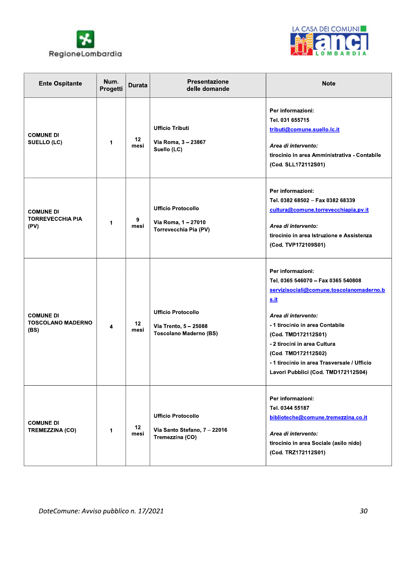



| <b>Ente Ospitante</b>                                | Num.<br>Progetti | <b>Durata</b>   | <b>Presentazione</b><br>delle domande                                               | <b>Note</b>                                                                                                                                                                                                                                                                                                                                      |
|------------------------------------------------------|------------------|-----------------|-------------------------------------------------------------------------------------|--------------------------------------------------------------------------------------------------------------------------------------------------------------------------------------------------------------------------------------------------------------------------------------------------------------------------------------------------|
| <b>COMUNE DI</b><br><b>SUELLO (LC)</b>               | 1                | 12<br>mesi      | <b>Ufficio Tributi</b><br>Via Roma, 3 - 23867<br>Suello (LC)                        | Per informazioni:<br>Tel. 031 655715<br>tributi@comune.suello.lc.it<br>Area di intervento:<br>tirocinio in area Amministrativa - Contabile<br>(Cod. SLL172112S01)                                                                                                                                                                                |
| <b>COMUNE DI</b><br><b>TORREVECCHIA PIA</b><br>(PV)  | 1                | 9<br>mesi       | <b>Ufficio Protocollo</b><br>Via Roma, 1 - 27010<br>Torrevecchia Pia (PV)           | Per informazioni:<br>Tel. 0382 68502 - Fax 0382 68339<br>cultura@comune.torrevecchiapia.pv.it<br>Area di intervento:<br>tirocinio in area Istruzione e Assistenza<br>(Cod. TVP172109S01)                                                                                                                                                         |
| <b>COMUNE DI</b><br><b>TOSCOLANO MADERNO</b><br>(BS) | 4                | $12 \,$<br>mesi | <b>Ufficio Protocollo</b><br>Via Trento, 5 - 25088<br><b>Toscolano Maderno (BS)</b> | Per informazioni:<br>Tel. 0365 546070 - Fax 0365 540808<br>servizisociali@comune.toscolanomaderno.b<br><u>s.it</u><br>Area di intervento:<br>- 1 tirocinio in area Contabile<br>(Cod. TMD172112S01)<br>- 2 tirocini in area Cultura<br>(Cod. TMD172112S02)<br>- 1 tirocinio in area Trasversale / Ufficio<br>Lavori Pubblici (Cod. TMD172112S04) |
| <b>COMUNE DI</b><br><b>TREMEZZINA (CO)</b>           | 1                | 12<br>mesi      | <b>Ufficio Protocollo</b><br>Via Santo Stefano, 7 - 22016<br>Tremezzina (CO)        | Per informazioni:<br>Tel. 0344 55187<br>biblioteche@comune.tremezzina.co.it<br>Area di intervento:<br>tirocinio in area Sociale (asilo nido)<br>(Cod. TRZ172112S01)                                                                                                                                                                              |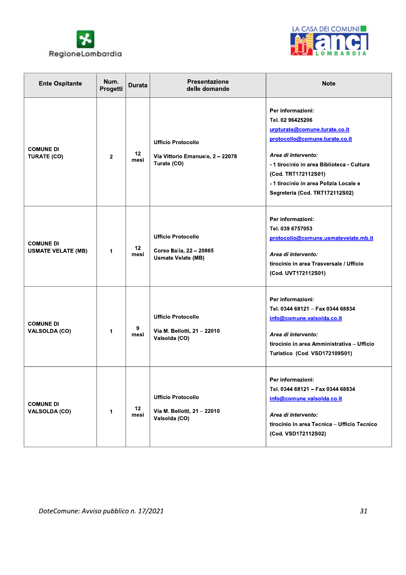



| <b>Ente Ospitante</b>                         | Num.<br>Progetti | <b>Durata</b>   | <b>Presentazione</b><br>delle domande                                              | <b>Note</b>                                                                                                                                                                                                                                                                    |
|-----------------------------------------------|------------------|-----------------|------------------------------------------------------------------------------------|--------------------------------------------------------------------------------------------------------------------------------------------------------------------------------------------------------------------------------------------------------------------------------|
| <b>COMUNE DI</b><br><b>TURATE (CO)</b>        | $\mathbf{2}$     | $12 \,$<br>mesi | <b>Ufficio Protocollo</b><br>Via Vittorio Emanuele, 2-22078<br>Turate (CO)         | Per informazioni:<br>Tel. 02 96425206<br>urpturate@comune.turate.co.it<br>protocollo@comune.turate.co.it<br>Area di intervento:<br>-1 tirocinio in area Biblioteca - Cultura<br>(Cod. TRT172112S01)<br>-1 tirocinio in area Polizia Locale e<br>Segreteria (Cod. TRT172112S02) |
| <b>COMUNE DI</b><br><b>USMATE VELATE (MB)</b> | 1                | 12<br>mesi      | <b>Ufficio Protocollo</b><br>Corso Italia, 22 - 20865<br><b>Usmate Velate (MB)</b> | Per informazioni:<br>Tel. 039 6757053<br>protocollo@comune.usmatevelate.mb.it<br>Area di intervento:<br>tirocinio in area Trasversale / Ufficio<br>(Cod. UVT172112S01)                                                                                                         |
| <b>COMUNE DI</b><br><b>VALSOLDA (CO)</b>      | 1                | 9<br>mesi       | <b>Ufficio Protocollo</b><br>Via M. Bellotti, 21 - 22010<br>Valsolda (CO)          | Per informazioni:<br>Tel. 0344 68121 - Fax 0344 68834<br>info@comune.valsolda.co.it<br>Area di intervento:<br>tirocinio in area Amministrativa - Ufficio<br>Turistico (Cod. VSD172109S01)                                                                                      |
| <b>COMUNE DI</b><br><b>VALSOLDA (CO)</b>      | 1                | 12<br>mesi      | <b>Ufficio Protocollo</b><br>Via M. Bellotti, 21 - 22010<br>Valsolda (CO)          | Per informazioni:<br>Tel. 0344 68121 - Fax 0344 68834<br>info@comune.valsolda.co.it<br>Area di intervento:<br>tirocinio in area Tecnica - Ufficio Tecnico<br>(Cod. VSD172112S02)                                                                                               |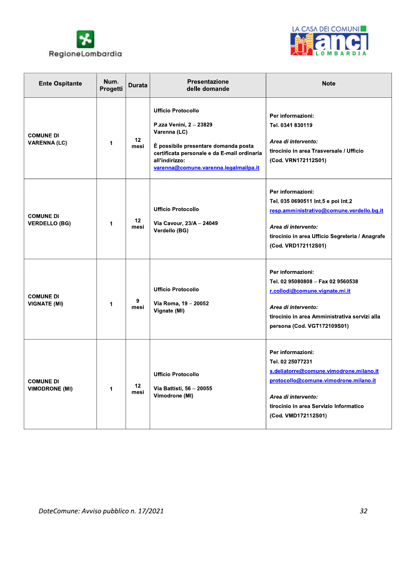



| <b>Ente Ospitante</b>                     | Num.<br>Progetti | <b>Durata</b>           | <b>Presentazione</b><br>delle domande                                                                                                                                                                                  | <b>Note</b>                                                                                                                                                                                                       |  |
|-------------------------------------------|------------------|-------------------------|------------------------------------------------------------------------------------------------------------------------------------------------------------------------------------------------------------------------|-------------------------------------------------------------------------------------------------------------------------------------------------------------------------------------------------------------------|--|
| <b>COMUNE DI</b><br><b>VARENNA (LC)</b>   | 1                | 12 <sub>2</sub><br>mesi | <b>Ufficio Protocollo</b><br>P.zza Venini, 2 - 23829<br>Varenna (LC)<br>È possibile presentare domanda posta<br>certificata personale e da E-mail ordinaria<br>all'indirizzo:<br>varenna@comune.varenna.legalmailpa.it | Per informazioni:<br>Tel. 0341 830119<br>Area di intervento:<br>tirocinio in area Trasversale / Ufficio<br>(Cod. VRN172112S01)                                                                                    |  |
| <b>COMUNE DI</b><br><b>VERDELLO (BG)</b>  | 1                | 12<br>mesi              | <b>Ufficio Protocollo</b><br>Via Cavour, 23/A - 24049<br>Verdello (BG)                                                                                                                                                 | Per informazioni:<br>Tel. 035 0690511 Int.5 e poi Int.2<br>resp.amministrativo@comune.verdello.bg.it<br>Area di intervento:<br>tirocinio in area Ufficio Segreteria / Anagrafe<br>(Cod. VRD172112S01)             |  |
| <b>COMUNE DI</b><br><b>VIGNATE (MI)</b>   | 1                | 9<br>mesi               | <b>Ufficio Protocollo</b><br>Via Roma, 19 - 20052<br>Vignate (MI)                                                                                                                                                      | Per informazioni:<br>Tel. 02 95080808 - Fax 02 9560538<br>r.collodi@comune.vignate.mi.it<br>Area di intervento:<br>tirocinio in area Amministrativa servizi alla<br>persona (Cod. VGT172109S01)                   |  |
| <b>COMUNE DI</b><br><b>VIMODRONE (MI)</b> | 1                | 12 <sup>2</sup><br>mesi | <b>Ufficio Protocollo</b><br>Via Battisti, 56 - 20055<br>Vimodrone (MI)                                                                                                                                                | Per informazioni:<br>Tel. 02 25077231<br>s.dellatorre@comune.vimodrone.milano.it<br>protocollo@comune.vimodrone.milano.it<br>Area di intervento:<br>tirocinio in area Servizio Informatico<br>(Cod. VMD172112S01) |  |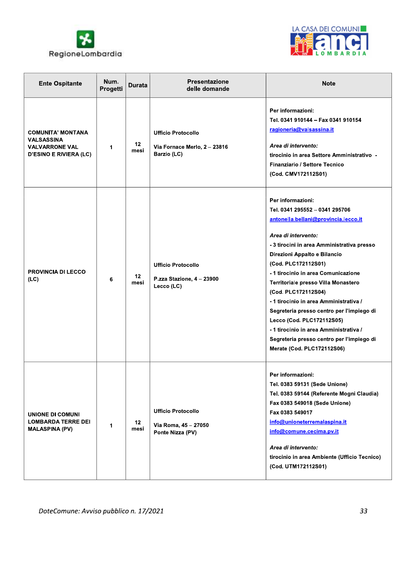



| <b>Ente Ospitante</b>                                                                                   | Num.<br>Progetti | <b>Durata</b>            | <b>Presentazione</b><br>delle domande                                    | <b>Note</b>                                                                                                                                                                                                                                                                                                                                                                                                                                                                                                                                                          |
|---------------------------------------------------------------------------------------------------------|------------------|--------------------------|--------------------------------------------------------------------------|----------------------------------------------------------------------------------------------------------------------------------------------------------------------------------------------------------------------------------------------------------------------------------------------------------------------------------------------------------------------------------------------------------------------------------------------------------------------------------------------------------------------------------------------------------------------|
| <b>COMUNITA' MONTANA</b><br><b>VALSASSINA</b><br><b>VALVARRONE VAL</b><br><b>D'ESINO E RIVIERA (LC)</b> | 1                | $12 \,$<br>mesi          | <b>Ufficio Protocollo</b><br>Via Fornace Merlo, 2 - 23816<br>Barzio (LC) | Per informazioni:<br>Tel. 0341 910144 - Fax 0341 910154<br>ragioneria@valsassina.it<br>Area di intervento:<br>tirocinio in area Settore Amministrativo -<br>Finanziario / Settore Tecnico<br>(Cod. CMV172112S01)                                                                                                                                                                                                                                                                                                                                                     |
| <b>PROVINCIA DI LECCO</b><br>(LC)                                                                       | 6                | 12<br>mesi               | <b>Ufficio Protocollo</b><br>P.zza Stazione, 4 - 23900<br>Lecco (LC)     | Per informazioni:<br>Tel. 0341 295552 - 0341 295706<br>antonella.bellani@provincia.lecco.it<br>Area di intervento:<br>- 3 tirocini in area Amministrativa presso<br>Direzioni Appalto e Bilancio<br>(Cod. PLC172112S01)<br>- 1 tirocinio in area Comunicazione<br>Territoriale presso Villa Monastero<br>(Cod. PLC172112S04)<br>- 1 tirocinio in area Amministrativa /<br>Segreteria presso centro per l'impiego di<br>Lecco (Cod. PLC172112S05)<br>-1 tirocinio in area Amministrativa /<br>Segreteria presso centro per l'impiego di<br>Merate (Cod. PLC172112S06) |
| UNIONE DI COMUNI<br><b>LOMBARDA TERRE DEI</b><br><b>MALASPINA (PV)</b>                                  | 1                | 12 <sup>12</sup><br>mesi | <b>Ufficio Protocollo</b><br>Via Roma, 45 - 27050<br>Ponte Nizza (PV)    | Per informazioni:<br>Tel. 0383 59131 (Sede Unione)<br>Tel. 0383 59144 (Referente Mogni Claudia)<br>Fax 0383 549018 (Sede Unione)<br>Fax 0383 549017<br>info@unioneterremalaspina.it<br>info@comune.cecima.pv.it<br>Area di intervento:<br>tirocinio in area Ambiente (Ufficio Tecnico)<br>(Cod. UTM172112S01)                                                                                                                                                                                                                                                        |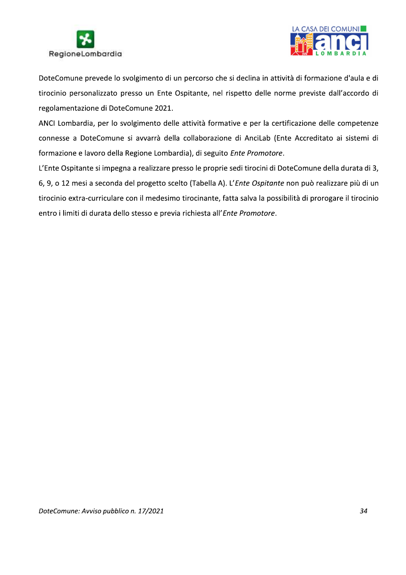



DoteComune prevede lo svolgimento di un percorso che si declina in attività di formazione d'aula e di tirocinio personalizzato presso un Ente Ospitante, nel rispetto delle norme previste dall'accordo di regolamentazione di DoteComune 2021.

ANCI Lombardia, per lo svolgimento delle attività formative e per la certificazione delle competenze connesse a DoteComune si avvarrà della collaborazione di AnciLab (Ente Accreditato ai sistemi di formazione e lavoro della Regione Lombardia), di seguito Ente Promotore.

L'Ente Ospitante si impegna a realizzare presso le proprie sedi tirocini di DoteComune della durata di 3, 6, 9, o 12 mesi a seconda del progetto scelto (Tabella A). L'Ente Ospitante non può realizzare più di un tirocinio extra-curriculare con il medesimo tirocinante, fatta salva la possibilità di prorogare il tirocinio entro i limiti di durata dello stesso e previa richiesta all'Ente Promotore.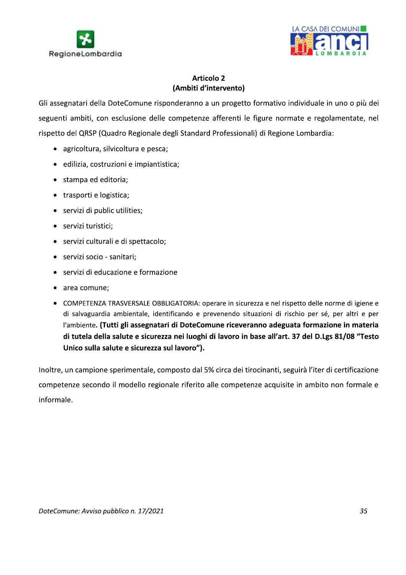



RegioneLombardia<br>
RegioneLombardia<br>
Articolo 2<br>
(Ambiti d'intervento)<br>
Gli assegnatari della DoteComune risponderanno a un progetto formativo individuale in uno o più dei<br>
seguenti ambiti, con esclusione delle competenze a

- 
- 
- stampa ed editoria;
- trasporti e logistica;
- servizi di public utilities;
- servizi turistici;
- servizi culturali e di spettacolo;
- servizi socio sanitari;
- servizi di educazione e formazione
- area comune;
- COMPETENZA TRASVERSALE OBBLIGATORIA: operare in sicurezza e nel rispetto delle norme di igiene e di salvaguardia ambientale, identificando e prevenendo situazioni di rischio per sé, per altri e per l'ambiente. (Tutti gli assegnatari di DoteComune riceveranno adeguata formazione in materia di tutela della salute e sicurezza nei luoghi di lavoro in base all'art. 37 del D.Lgs 81/08 "Testo Unico sulla salute e sicurezza sul lavoro").

Inoltre, un campione sperimentale, composto dal 5% circa dei tirocinanti, seguirà l'iter di certificazione competenze secondo il modello regionale riferito alle competenze acquisite in ambito non formale e informale.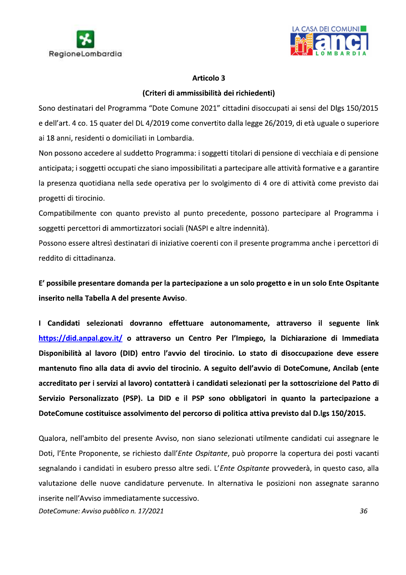



### (Criteri di ammissibilità dei richiedenti)

Sono destinatari del Programma "Dote Comune 2021" cittadini disoccupati ai sensi del Dlgs 150/2015 e dell'art. 4 co. 15 quater del DL 4/2019 come convertito dalla legge 26/2019, di età uguale o superiore ai 18 anni, residenti o domiciliati in Lombardia.

Non possono accedere al suddetto Programma: i soggetti titolari di pensione di vecchiaia e di pensione anticipata; i soggetti occupati che siano impossibilitati a partecipare alle attività formative e a garantire la presenza quotidiana nella sede operativa per lo svolgimento di 4 ore di attività come previsto dai progetti di tirocinio.

Compatibilmente con quanto previsto al punto precedente, possono partecipare al Programma i soggetti percettori di ammortizzatori sociali (NASPI e altre indennità).

Possono essere altresì destinatari di iniziative coerenti con il presente programma anche i percettori di reddito di cittadinanza.

E' possibile presentare domanda per la partecipazione a un solo progetto e in un solo Ente Ospitante inserito nella Tabella A del presente Avviso.

I Candidati selezionati dovranno effettuare autonomamente, attraverso il seguente link https://did.anpal.gov.it/ o attraverso un Centro Per l'Impiego, la Dichiarazione di Immediata Disponibilità al lavoro (DID) entro l'avvio del tirocinio. Lo stato di disoccupazione deve essere mantenuto fino alla data di avvio del tirocinio. A seguito dell'avvio di DoteComune, Ancilab (ente accreditato per i servizi al lavoro) contatterà i candidati selezionati per la sottoscrizione del Patto di Servizio Personalizzato (PSP). La DID e il PSP sono obbligatori in quanto la partecipazione a DoteComune costituisce assolvimento del percorso di politica attiva previsto dal D.lgs 150/2015.

Qualora, nell'ambito del presente Avviso, non siano selezionati utilmente candidati cui assegnare le Doti, l'Ente Proponente, se richiesto dall'*Ente Ospitante*, può proporre la copertura dei posti vacanti segnalando i candidati in esubero presso altre sedi. L'Ente Ospitante provvederà, in questo caso, alla valutazione delle nuove candidature pervenute. In alternativa le posizioni non assegnate saranno inserite nell'Avviso immediatamente successivo.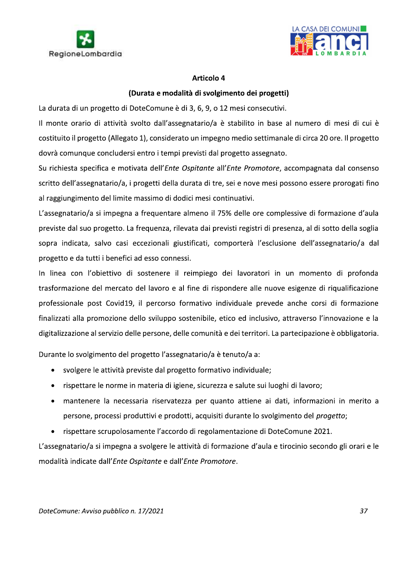



## (Durata e modalità di svolgimento dei progetti)

La durata di un progetto di DoteComune è di 3, 6, 9, o 12 mesi consecutivi.

Il monte orario di attività svolto dall'assegnatario/a è stabilito in base al numero di mesi di cui è costituito il progetto (Allegato 1), considerato un impegno medio settimanale di circa 20 ore. Il progetto dovrà comunque concludersi entro i tempi previsti dal progetto assegnato.

Su richiesta specifica e motivata dell'Ente Ospitante all'Ente Promotore, accompagnata dal consenso scritto dell'assegnatario/a, i progetti della durata di tre, sei e nove mesi possono essere prorogati fino al raggiungimento del limite massimo di dodici mesi continuativi.

L'assegnatario/a si impegna a frequentare almeno il 75% delle ore complessive di formazione d'aula previste dal suo progetto. La frequenza, rilevata dai previsti registri di presenza, al di sotto della soglia sopra indicata, salvo casi eccezionali giustificati, comporterà l'esclusione dell'assegnatario/a dal progetto e da tutti i benefici ad esso connessi.

In linea con l'obiettivo di sostenere il reimpiego dei lavoratori in un momento di profonda trasformazione del mercato del lavoro e al fine di rispondere alle nuove esigenze di riqualificazione professionale post Covid19, il percorso formativo individuale prevede anche corsi di formazione finalizzati alla promozione dello sviluppo sostenibile, etico ed inclusivo, attraverso l'innovazione e la digitalizzazione al servizio delle persone, delle comunità e dei territori. La partecipazione è obbligatoria.

Durante lo svolgimento del progetto l'assegnatario/a è tenuto/a a:

- svolgere le attività previste dal progetto formativo individuale;
- rispettare le norme in materia di igiene, sicurezza e salute sui luoghi di lavoro;
- mantenere la necessaria riservatezza per quanto attiene ai dati, informazioni in merito a  $\bullet$ persone, processi produttivi e prodotti, acquisiti durante lo svolgimento del *progetto*;
- rispettare scrupolosamente l'accordo di regolamentazione di DoteComune 2021.

L'assegnatario/a si impegna a svolgere le attività di formazione d'aula e tirocinio secondo gli orari e le modalità indicate dall'Ente Ospitante e dall'Ente Promotore.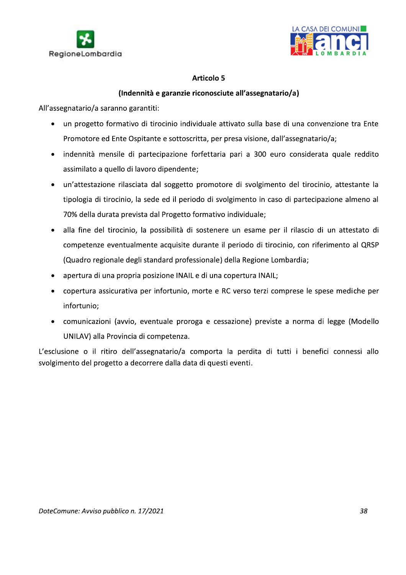



## (Indennità e garanzie riconosciute all'assegnatario/a)

All'assegnatario/a saranno garantiti:

- un progetto formativo di tirocinio individuale attivato sulla base di una convenzione tra Ente  $\bullet$ Promotore ed Ente Ospitante e sottoscritta, per presa visione, dall'assegnatario/a;
- · indennità mensile di partecipazione forfettaria pari a 300 euro considerata quale reddito assimilato a quello di lavoro dipendente;
- · un'attestazione rilasciata dal soggetto promotore di svolgimento del tirocinio, attestante la tipologia di tirocinio, la sede ed il periodo di svolgimento in caso di partecipazione almeno al 70% della durata prevista dal Progetto formativo individuale;
- · alla fine del tirocinio, la possibilità di sostenere un esame per il rilascio di un attestato di competenze eventualmente acquisite durante il periodo di tirocinio, con riferimento al QRSP (Quadro regionale degli standard professionale) della Regione Lombardia;
- · apertura di una propria posizione INAIL e di una copertura INAIL;
- copertura assicurativa per infortunio, morte e RC verso terzi comprese le spese mediche per infortunio;
- comunicazioni (avvio, eventuale proroga e cessazione) previste a norma di legge (Modello UNILAV) alla Provincia di competenza.

L'esclusione o il ritiro dell'assegnatario/a comporta la perdita di tutti i benefici connessi allo svolgimento del progetto a decorrere dalla data di questi eventi.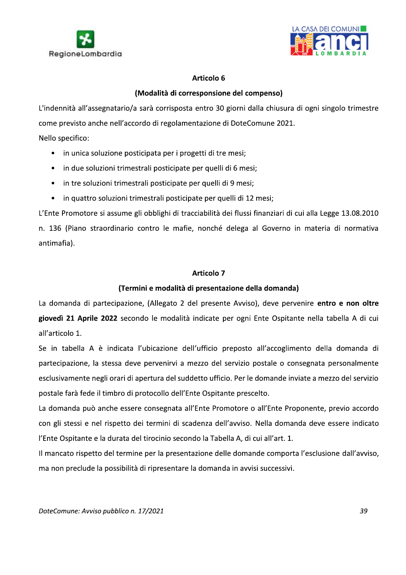



## (Modalità di corresponsione del compenso)

L'indennità all'assegnatario/a sarà corrisposta entro 30 giorni dalla chiusura di ogni singolo trimestre come previsto anche nell'accordo di regolamentazione di DoteComune 2021.

Nello specifico:

- in unica soluzione posticipata per i progetti di tre mesi;
- in due soluzioni trimestrali posticipate per quelli di 6 mesi;
- in tre soluzioni trimestrali posticipate per quelli di 9 mesi;
- in quattro soluzioni trimestrali posticipate per quelli di 12 mesi;

L'Ente Promotore si assume gli obblighi di tracciabilità dei flussi finanziari di cui alla Legge 13.08.2010 n. 136 (Piano straordinario contro le mafie, nonché delega al Governo in materia di normativa antimafia).

### **Articolo 7**

## (Termini e modalità di presentazione della domanda)

La domanda di partecipazione, (Allegato 2 del presente Avviso), deve pervenire entro e non oltre giovedì 21 Aprile 2022 secondo le modalità indicate per ogni Ente Ospitante nella tabella A di cui all'articolo 1.

Se in tabella A è indicata l'ubicazione dell'ufficio preposto all'accoglimento della domanda di partecipazione, la stessa deve pervenirvi a mezzo del servizio postale o consegnata personalmente esclusivamente negli orari di apertura del suddetto ufficio. Per le domande inviate a mezzo del servizio postale farà fede il timbro di protocollo dell'Ente Ospitante prescelto.

La domanda può anche essere consegnata all'Ente Promotore o all'Ente Proponente, previo accordo con gli stessi e nel rispetto dei termini di scadenza dell'avviso. Nella domanda deve essere indicato l'Ente Ospitante e la durata del tirocinio secondo la Tabella A, di cui all'art. 1.

Il mancato rispetto del termine per la presentazione delle domande comporta l'esclusione dall'avviso, ma non preclude la possibilità di ripresentare la domanda in avvisi successivi.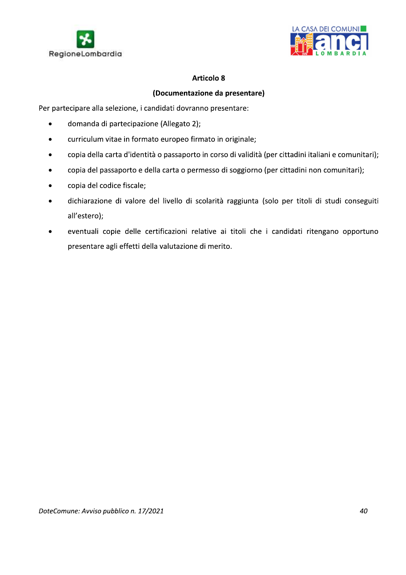



### (Documentazione da presentare)

Per partecipare alla selezione, i candidati dovranno presentare:

- domanda di partecipazione (Allegato 2);  $\bullet$
- curriculum vitae in formato europeo firmato in originale;  $\bullet$
- copia della carta d'identità o passaporto in corso di validità (per cittadini italiani e comunitari);  $\bullet$
- copia del passaporto e della carta o permesso di soggiorno (per cittadini non comunitari);  $\bullet$
- copia del codice fiscale;  $\bullet$
- dichiarazione di valore del livello di scolarità raggiunta (solo per titoli di studi conseguiti  $\blacktriangle$ all'estero);
- eventuali copie delle certificazioni relative ai titoli che i candidati ritengano opportuno  $\bullet$ presentare agli effetti della valutazione di merito.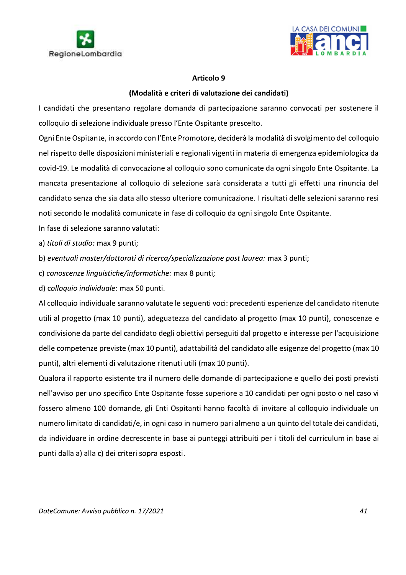



## (Modalità e criteri di valutazione dei candidati)

I candidati che presentano regolare domanda di partecipazione saranno convocati per sostenere il colloquio di selezione individuale presso l'Ente Ospitante prescelto.

Ogni Ente Ospitante, in accordo con l'Ente Promotore, deciderà la modalità di svolgimento del colloquio nel rispetto delle disposizioni ministeriali e regionali vigenti in materia di emergenza epidemiologica da covid-19. Le modalità di convocazione al colloquio sono comunicate da ogni singolo Ente Ospitante. La mancata presentazione al colloquio di selezione sarà considerata a tutti gli effetti una rinuncia del candidato senza che sia data allo stesso ulteriore comunicazione. I risultati delle selezioni saranno resi noti secondo le modalità comunicate in fase di colloquio da ogni singolo Ente Ospitante.

In fase di selezione saranno valutati:

a) titoli di studio: max 9 punti;

b) eventuali master/dottorati di ricerca/specializzazione post laurea: max 3 punti;

c) conoscenze linguistiche/informatiche: max 8 punti;

d) colloquio individuale: max 50 punti.

Al colloquio individuale saranno valutate le seguenti voci: precedenti esperienze del candidato ritenute utili al progetto (max 10 punti), adeguatezza del candidato al progetto (max 10 punti), conoscenze e condivisione da parte del candidato degli obiettivi perseguiti dal progetto e interesse per l'acquisizione delle competenze previste (max 10 punti), adattabilità del candidato alle esigenze del progetto (max 10 punti), altri elementi di valutazione ritenuti utili (max 10 punti).

Qualora il rapporto esistente tra il numero delle domande di partecipazione e quello dei posti previsti nell'avviso per uno specifico Ente Ospitante fosse superiore a 10 candidati per ogni posto o nel caso vi fossero almeno 100 domande, gli Enti Ospitanti hanno facoltà di invitare al colloquio individuale un numero limitato di candidati/e, in ogni caso in numero pari almeno a un quinto del totale dei candidati, da individuare in ordine decrescente in base ai punteggi attribuiti per i titoli del curriculum in base ai punti dalla a) alla c) dei criteri sopra esposti.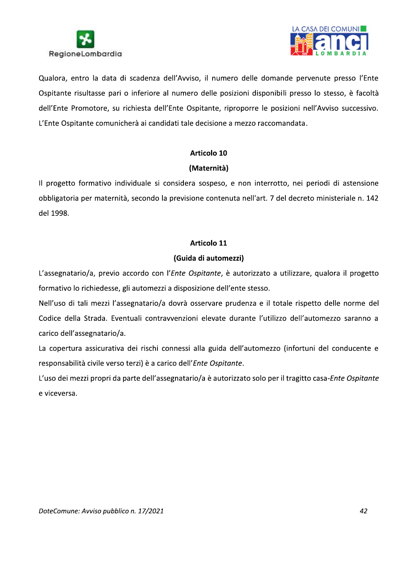



Qualora, entro la data di scadenza dell'Avviso, il numero delle domande pervenute presso l'Ente Ospitante risultasse pari o inferiore al numero delle posizioni disponibili presso lo stesso, è facoltà dell'Ente Promotore, su richiesta dell'Ente Ospitante, riproporre le posizioni nell'Avviso successivo. L'Ente Ospitante comunicherà ai candidati tale decisione a mezzo raccomandata.

### Articolo 10

### (Maternità)

Il progetto formativo individuale si considera sospeso, e non interrotto, nei periodi di astensione obbligatoria per maternità, secondo la previsione contenuta nell'art. 7 del decreto ministeriale n. 142 del 1998.

### Articolo 11

### (Guida di automezzi)

L'assegnatario/a, previo accordo con l'Ente Ospitante, è autorizzato a utilizzare, qualora il progetto formativo lo richiedesse, gli automezzi a disposizione dell'ente stesso.

Nell'uso di tali mezzi l'assegnatario/a dovrà osservare prudenza e il totale rispetto delle norme del Codice della Strada. Eventuali contravvenzioni elevate durante l'utilizzo dell'automezzo saranno a carico dell'assegnatario/a.

La copertura assicurativa dei rischi connessi alla guida dell'automezzo (infortuni del conducente e responsabilità civile verso terzi) è a carico dell'Ente Ospitante.

L'uso dei mezzi propri da parte dell'assegnatario/a è autorizzato solo per il tragitto casa-Ente Ospitante e viceversa.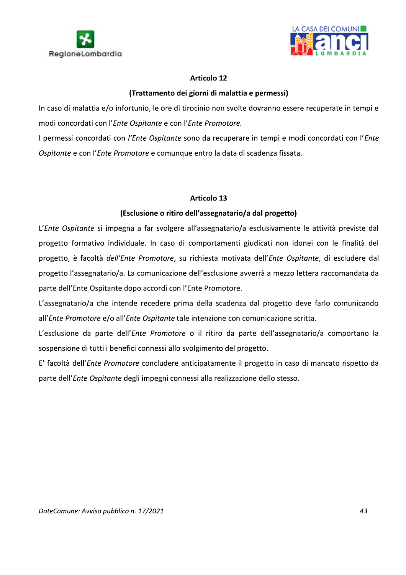



## (Trattamento dei giorni di malattia e permessi)

In caso di malattia e/o infortunio, le ore di tirocinio non svolte dovranno essere recuperate in tempi e modi concordati con l'Ente Ospitante e con l'Ente Promotore.

I permessi concordati con l'Ente Ospitante sono da recuperare in tempi e modi concordati con l'Ente Ospitante e con l'Ente Promotore e comunque entro la data di scadenza fissata.

### Articolo 13

### (Esclusione o ritiro dell'assegnatario/a dal progetto)

L'Ente Ospitante si impegna a far svolgere all'assegnatario/a esclusivamente le attività previste dal progetto formativo individuale. In caso di comportamenti giudicati non idonei con le finalità del progetto, è facoltà dell'Ente Promotore, su richiesta motivata dell'Ente Ospitante, di escludere dal progetto l'assegnatario/a. La comunicazione dell'esclusione avverrà a mezzo lettera raccomandata da parte dell'Ente Ospitante dopo accordi con l'Ente Promotore.

L'assegnatario/a che intende recedere prima della scadenza dal progetto deve farlo comunicando all'Ente Promotore e/o all'Ente Ospitante tale intenzione con comunicazione scritta.

L'esclusione da parte dell'Ente Promotore o il ritiro da parte dell'assegnatario/a comportano la sospensione di tutti i benefici connessi allo svolgimento del progetto.

E' facoltà dell'Ente Promotore concludere anticipatamente il progetto in caso di mancato rispetto da parte dell'Ente Ospitante degli impegni connessi alla realizzazione dello stesso.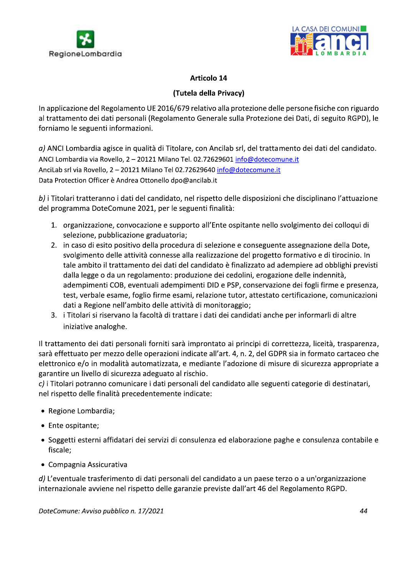



**Examplicazione del Regolamento UE 2016/679 relativo alla protezione delle persone fisiche con riguardo<br>
In applicazione del Regolamento UE 2016/679 relativo alla protezione delle persone fisiche con riguardo<br>
al trattamen**  $a$ ) ANCI Lombardia agisce in qualita di Titolare, con Ancilab srl, del trattamento dei dati del candidato. ANCI Lombardia via Rovello, 2 - 20121 Milano Tel. 02.72629601 info@dotecomune.it AnciLab srl via Rovello, 2 - 20121 Milano Tel 02.72629640 info@dotecomune.it Data Protection Officer è Andrea Ottonello dpo@ancilab.it

b) i Titolari tratteranno i dati del candidato, nel rispetto delle disposizioni che disciplinano l'attuazione del programma DoteComune 2021, per le seguenti finalità:

- 1. organizzazione, convocazione e supporto all'Ente ospitante nello svolgimento dei colloqui di selezione, pubblicazione graduatoria;
- 2. in caso di esito positivo della procedura di selezione e conseguente assegnazione della Dote, svolgimento delle attività connesse alla realizzazione del progetto formativo e di tirocinio. In tale ambito il trattamento dei dati del candidato è finalizzato ad adempiere ad obblighi previsti dalla legge o da un regolamento: produzione dei cedolini, erogazione delle indennità, adempimenti COB, eventuali adempimenti DID e PSP, conservazione dei fogli firme e presenza, test, verbale esame, foglio firme esami, relazione tutor, attestato certificazione, comunicazioni dati a Regione nell'ambito delle attività di monitoraggio;
- 3. i Titolari si riservano la facoltà di trattare i dati dei candidati anche per informarli di altre iniziative analoghe.

Il trattamento dei dati personali forniti sarà improntato ai principi di correttezza, liceità, trasparenza, sarà effettuato per mezzo delle operazioni indicate all'art. 4, n. 2, del GDPR sia in formato cartaceo che elettronico e/o in modalità automatizzata, e mediante l'adozione di misure di sicurezza appropriate a garantire un livello di sicurezza adeguato al rischio.

 $\emph{c)}$  i Titolari potranno comunicare i dati personali del candidato alle seguenti categorie di destinatari, nel rispetto delle finalità precedentemente indicate:

- Regione Lombardia;
- Ente ospitante;
- Soggetti esterni affidatari dei servizi di consulenza ed elaborazione paghe e consulenza contabile e fiscale;
- Compagnia Assicurativa

d) L'eventuale trasferimento di dati personali del candidato a un paese terzo o a un'organizzazione internazionale avviene nel rispetto delle garanzie previste dall'art 46 del Regolamento RGPD.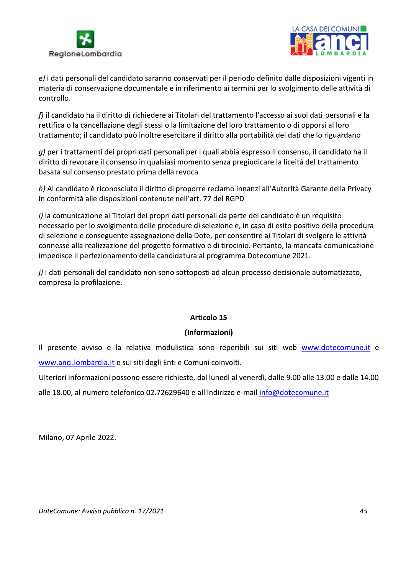



e) i dati personali del candidato saranno conservati per il periodo definito dalle disposizioni vigenti in materia di conservazione documentale e in riferimento ai termini per lo svolgimento delle attività di controllo.

f) il candidato ha il diritto di richiedere ai Titolari del trattamento l'accesso ai suoi dati personali e la rettifica o la cancellazione degli stessi o la limitazione del loro trattamento o di opporsi al loro trattamento; il candidato può inoltre esercitare il diritto alla portabilità dei dati che lo riguardano

g) per i trattamenti dei propri dati personali per i quali abbia espresso il consenso, il candidato ha il diritto di revocare il consenso in qualsiasi momento senza pregiudicare la liceità del trattamento basata sul consenso prestato prima della revoca

h) Al candidato è riconosciuto il diritto di proporre reclamo innanzi all'Autorità Garante della Privacy in conformità alle disposizioni contenute nell'art. 77 del RGPD

i) la comunicazione ai Titolari dei propri dati personali da parte del candidato è un requisito necessario per lo svolgimento delle procedure di selezione e, in caso di esito positivo della procedura di selezione e conseguente assegnazione della Dote, per consentire ai Titolari di svolgere le attività connesse alla realizzazione del progetto formativo e di tirocinio. Pertanto, la mancata comunicazione impedisce il perfezionamento della candidatura al programma Dotecomune 2021.

j) I dati personali del candidato non sono sottoposti ad alcun processo decisionale automatizzato, compresa la profilazione.

## Articolo 15

## (Informazioni)

Il presente avviso e la relativa modulistica sono reperibili sui siti web www.dotecomune.it e www.anci.lombardia.it e sui siti degli Enti e Comuni coinvolti.

Ulteriori informazioni possono essere richieste, dal lunedì al venerdì, dalle 9.00 alle 13.00 e dalle 14.00

alle 18.00, al numero telefonico 02.72629640 e all'indirizzo e-mail info@dotecomune.it

Milano, 07 Aprile 2022.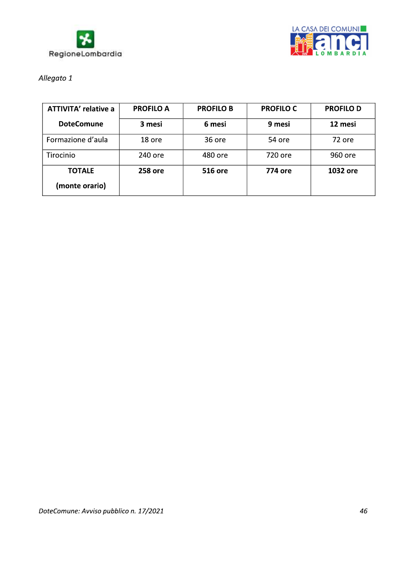



# Allegato 1

| <b>ATTIVITA' relative a</b> | <b>PROFILO A</b> | <b>PROFILO B</b> | <b>PROFILO C</b> | <b>PROFILO D</b> |
|-----------------------------|------------------|------------------|------------------|------------------|
| <b>DoteComune</b>           | 3 mesi           | 6 mesi           | 9 mesi           | 12 mesi          |
| Formazione d'aula           | 18 ore           | 36 ore           | 54 ore           | 72 ore           |
| Tirocinio                   | 240 ore          | 480 ore          | 720 ore          | 960 ore          |
| <b>TOTALE</b>               | <b>258 ore</b>   | <b>516 ore</b>   | 774 ore          | 1032 ore         |
| (monte orario)              |                  |                  |                  |                  |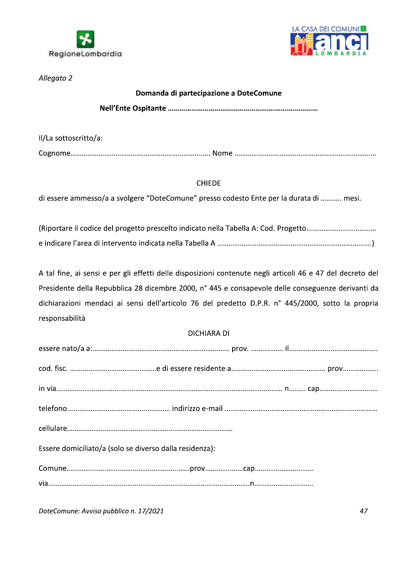



Allegato 2

## Domanda di partecipazione a DoteComune

Il/La sottoscritto/a:

## **CHIEDE**

di essere ammesso/a a svolgere "DoteComune" presso codesto Ente per la durata di ........... mesi.

A tal fine, ai sensi e per gli effetti delle disposizioni contenute negli articoli 46 e 47 del decreto del Presidente della Repubblica 28 dicembre 2000, n° 445 e consapevole delle conseguenze derivanti da dichiarazioni mendaci ai sensi dell'articolo 76 del predetto D.P.R. n° 445/2000, sotto la propria responsabilità

## **DICHIARA DI**

| Essere domiciliato/a (solo se diverso dalla residenza): |  |
|---------------------------------------------------------|--|
|                                                         |  |
|                                                         |  |
|                                                         |  |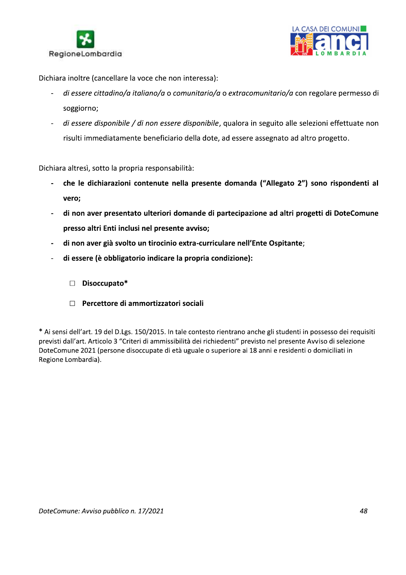



Dichiara inoltre (cancellare la voce che non interessa):

- di essere cittadino/a italiano/a o comunitario/a o extracomunitario/a con regolare permesso di  $\overline{a}$ soggiorno;
- di essere disponibile / di non essere disponibile, qualora in seguito alle selezioni effettuate non  $\overline{a}$ risulti immediatamente beneficiario della dote, ad essere assegnato ad altro progetto.

Dichiara altresì, sotto la propria responsabilità:

- che le dichiarazioni contenute nella presente domanda ("Allegato 2") sono rispondenti al vero;
- di non aver presentato ulteriori domande di partecipazione ad altri progetti di DoteComune  $\overline{a}$ presso altri Enti inclusi nel presente avviso;
- di non aver già svolto un tirocinio extra-curriculare nell'Ente Ospitante;
- di essere (è obbligatorio indicare la propria condizione):  $\ddot{\phantom{1}}$ 
	- $\Box$  Disoccupato\*
	- $\Box$  Percettore di ammortizzatori sociali

\* Ai sensi dell'art. 19 del D.Lgs. 150/2015. In tale contesto rientrano anche gli studenti in possesso dei requisiti previsti dall'art. Articolo 3 "Criteri di ammissibilità dei richiedenti" previsto nel presente Avviso di selezione DoteComune 2021 (persone disoccupate di età uguale o superiore ai 18 anni e residenti o domiciliati in Regione Lombardia).